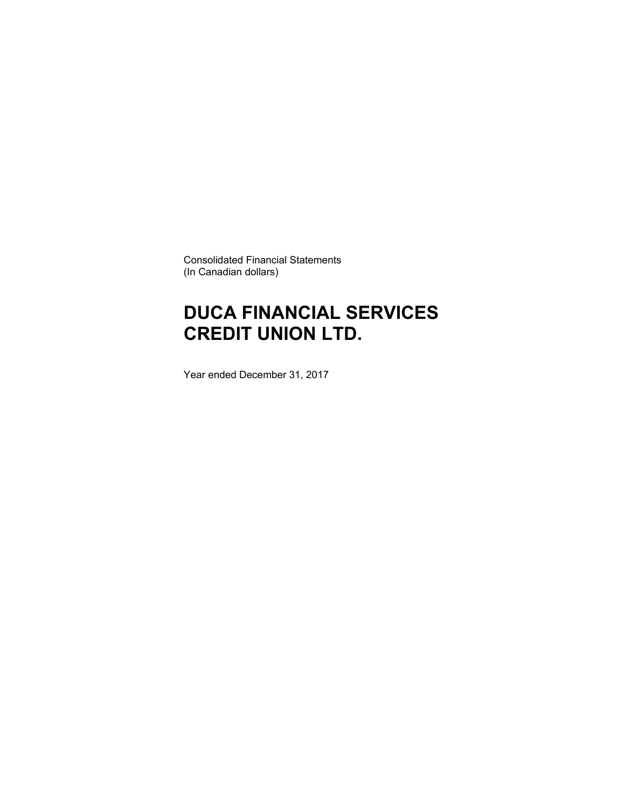Consolidated Financial Statements (In Canadian dollars)

# **DUCA FINANCIAL SERVICES CREDIT UNION LTD.**

Year ended December 31, 2017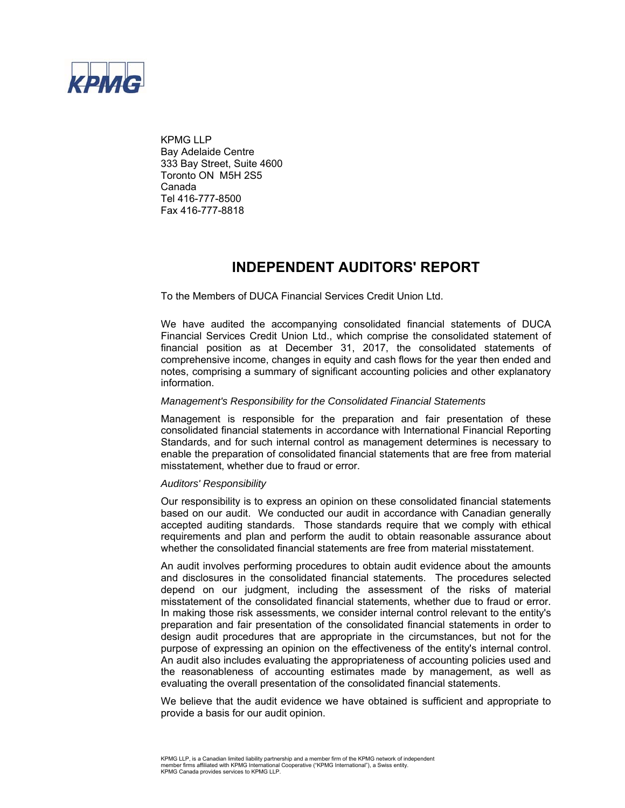

KPMG LLP Bay Adelaide Centre 333 Bay Street, Suite 4600 Toronto ON M5H 2S5 Canada Tel 416-777-8500 Fax 416-777-8818

### **INDEPENDENT AUDITORS' REPORT**

To the Members of DUCA Financial Services Credit Union Ltd.

We have audited the accompanying consolidated financial statements of DUCA Financial Services Credit Union Ltd., which comprise the consolidated statement of financial position as at December 31, 2017, the consolidated statements of comprehensive income, changes in equity and cash flows for the year then ended and notes, comprising a summary of significant accounting policies and other explanatory information.

#### *Management's Responsibility for the Consolidated Financial Statements*

Management is responsible for the preparation and fair presentation of these consolidated financial statements in accordance with International Financial Reporting Standards, and for such internal control as management determines is necessary to enable the preparation of consolidated financial statements that are free from material misstatement, whether due to fraud or error.

#### *Auditors' Responsibility*

Our responsibility is to express an opinion on these consolidated financial statements based on our audit. We conducted our audit in accordance with Canadian generally accepted auditing standards. Those standards require that we comply with ethical requirements and plan and perform the audit to obtain reasonable assurance about whether the consolidated financial statements are free from material misstatement.

An audit involves performing procedures to obtain audit evidence about the amounts and disclosures in the consolidated financial statements. The procedures selected depend on our judgment, including the assessment of the risks of material misstatement of the consolidated financial statements, whether due to fraud or error. In making those risk assessments, we consider internal control relevant to the entity's preparation and fair presentation of the consolidated financial statements in order to design audit procedures that are appropriate in the circumstances, but not for the purpose of expressing an opinion on the effectiveness of the entity's internal control. An audit also includes evaluating the appropriateness of accounting policies used and the reasonableness of accounting estimates made by management, as well as evaluating the overall presentation of the consolidated financial statements.

We believe that the audit evidence we have obtained is sufficient and appropriate to provide a basis for our audit opinion.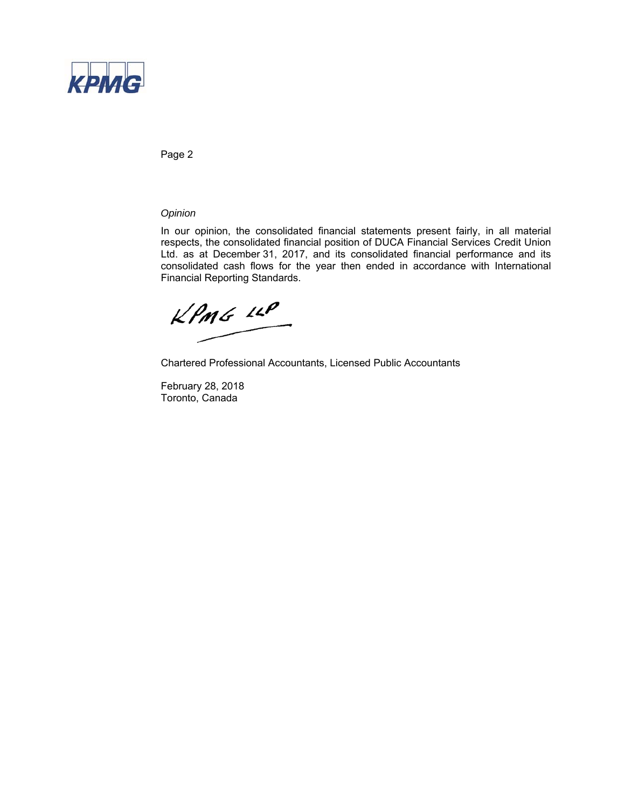

Page 2

### *Opinion*

In our opinion, the consolidated financial statements present fairly, in all material respects, the consolidated financial position of DUCA Financial Services Credit Union Ltd. as at December 31, 2017, and its consolidated financial performance and its consolidated cash flows for the year then ended in accordance with International Financial Reporting Standards.

 $KPMG$  14P

Chartered Professional Accountants, Licensed Public Accountants

February 28, 2018 Toronto, Canada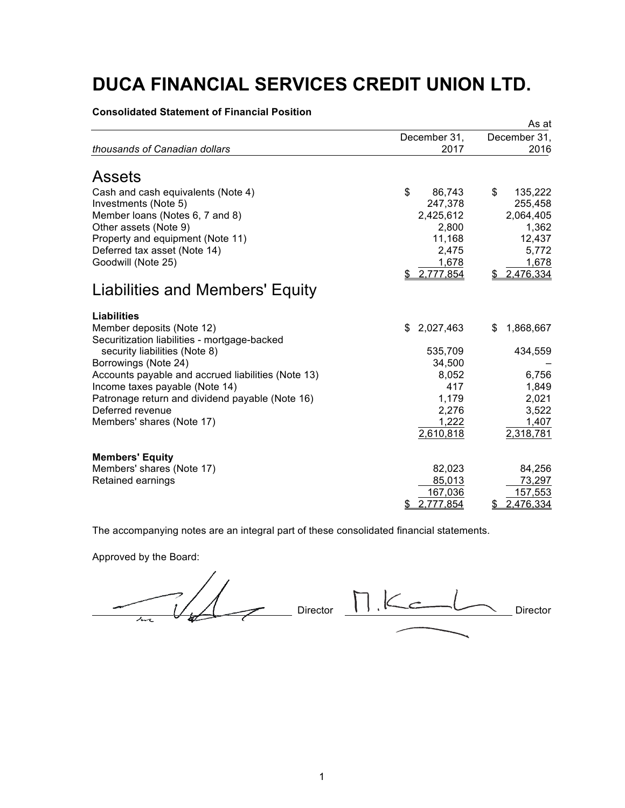**Consolidated Statement of Financial Position**

|                                                    |                  | As at           |
|----------------------------------------------------|------------------|-----------------|
|                                                    | December 31,     | December 31,    |
| thousands of Canadian dollars                      | 2017             | 2016            |
| <b>Assets</b>                                      |                  |                 |
| Cash and cash equivalents (Note 4)                 | \$<br>86,743     | \$<br>135,222   |
| Investments (Note 5)                               | 247,378          | 255,458         |
| Member Ioans (Notes 6, 7 and 8)                    | 2,425,612        | 2,064,405       |
| Other assets (Note 9)                              | 2,800            | 1,362           |
| Property and equipment (Note 11)                   | 11,168           | 12,437          |
| Deferred tax asset (Note 14)                       | 2,475            | 5,772           |
| Goodwill (Note 25)                                 | 1,678            | 1,678           |
|                                                    | \$ 2.777,854     | 2.476.334       |
| Liabilities and Members' Equity                    |                  |                 |
| <b>Liabilities</b>                                 |                  |                 |
| Member deposits (Note 12)                          | 2,027,463<br>\$. | 1,868,667<br>\$ |
| Securitization liabilities - mortgage-backed       |                  |                 |
| security liabilities (Note 8)                      | 535,709          | 434,559         |
| Borrowings (Note 24)                               | 34,500           |                 |
| Accounts payable and accrued liabilities (Note 13) | 8,052            | 6,756           |
| Income taxes payable (Note 14)                     | 417              | 1,849           |
| Patronage return and dividend payable (Note 16)    | 1,179            | 2,021           |
| Deferred revenue                                   | 2,276            | 3,522           |
| Members' shares (Note 17)                          | 1,222            | 1,407           |
|                                                    | 2,610,818        | 2,318,781       |
| <b>Members' Equity</b>                             |                  |                 |
| Members' shares (Note 17)                          | 82,023           | 84,256          |
| Retained earnings                                  | 85,013           | 73,297          |
|                                                    | 167,036          | 157,553         |
|                                                    | 2.777.854<br>\$  | 2.476,334<br>\$ |

The accompanying notes are an integral part of these consolidated financial statements.

Approved by the Board:

Director Director 11. Komband Director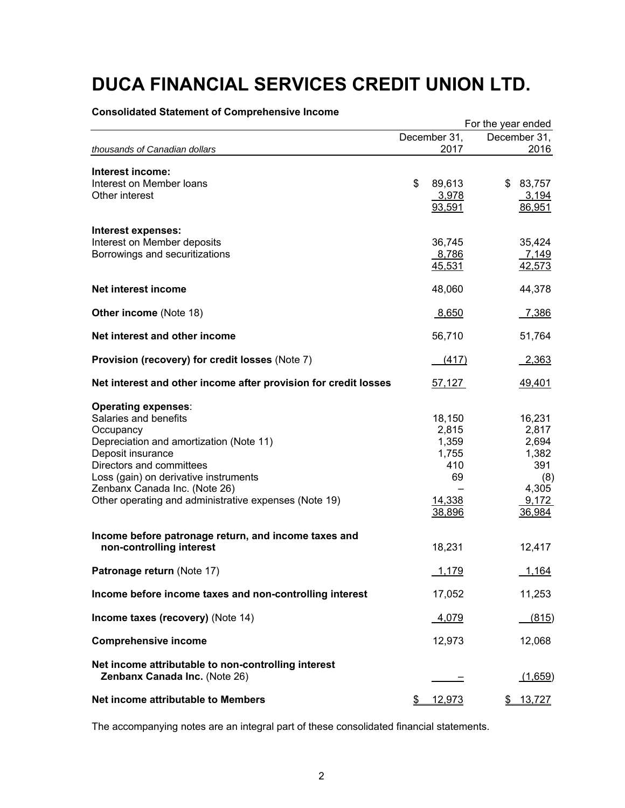|                                                                                                                                                                                                                                                                                                 | For the year ended |                                                                    |                                                                             |  |  |  |
|-------------------------------------------------------------------------------------------------------------------------------------------------------------------------------------------------------------------------------------------------------------------------------------------------|--------------------|--------------------------------------------------------------------|-----------------------------------------------------------------------------|--|--|--|
|                                                                                                                                                                                                                                                                                                 |                    | December 31,                                                       | December 31,                                                                |  |  |  |
| thousands of Canadian dollars                                                                                                                                                                                                                                                                   |                    | 2017                                                               | 2016                                                                        |  |  |  |
| Interest income:<br>Interest on Member loans<br>Other interest                                                                                                                                                                                                                                  | \$                 | 89,613<br>3,978<br>93,591                                          | \$83,757<br>3,194<br>86,951                                                 |  |  |  |
| Interest expenses:<br>Interest on Member deposits<br>Borrowings and securitizations                                                                                                                                                                                                             |                    | 36,745<br>8,786<br>45,531                                          | 35,424<br>7,149<br>42,573                                                   |  |  |  |
| Net interest income                                                                                                                                                                                                                                                                             |                    | 48,060                                                             | 44,378                                                                      |  |  |  |
| <b>Other income (Note 18)</b>                                                                                                                                                                                                                                                                   |                    | 8,650                                                              | 7,386                                                                       |  |  |  |
| Net interest and other income                                                                                                                                                                                                                                                                   |                    | 56,710                                                             | 51,764                                                                      |  |  |  |
| Provision (recovery) for credit losses (Note 7)                                                                                                                                                                                                                                                 |                    | (417)                                                              | 2,363                                                                       |  |  |  |
| Net interest and other income after provision for credit losses                                                                                                                                                                                                                                 |                    | 57,127                                                             | <u>49,401</u>                                                               |  |  |  |
| <b>Operating expenses:</b><br>Salaries and benefits<br>Occupancy<br>Depreciation and amortization (Note 11)<br>Deposit insurance<br>Directors and committees<br>Loss (gain) on derivative instruments<br>Zenbanx Canada Inc. (Note 26)<br>Other operating and administrative expenses (Note 19) |                    | 18,150<br>2,815<br>1,359<br>1,755<br>410<br>69<br>14,338<br>38,896 | 16,231<br>2,817<br>2,694<br>1,382<br>391<br>(8)<br>4,305<br>9,172<br>36,984 |  |  |  |
| Income before patronage return, and income taxes and<br>non-controlling interest                                                                                                                                                                                                                |                    | 18,231                                                             | 12,417                                                                      |  |  |  |
| Patronage return (Note 17)                                                                                                                                                                                                                                                                      |                    | 1,179                                                              | 1,164                                                                       |  |  |  |
| Income before income taxes and non-controlling interest                                                                                                                                                                                                                                         |                    | 17,052                                                             | 11,253                                                                      |  |  |  |
| Income taxes (recovery) (Note 14)                                                                                                                                                                                                                                                               |                    | 4,079                                                              | (815)                                                                       |  |  |  |
| <b>Comprehensive income</b>                                                                                                                                                                                                                                                                     |                    | 12,973                                                             | 12,068                                                                      |  |  |  |
| Net income attributable to non-controlling interest<br>Zenbanx Canada Inc. (Note 26)                                                                                                                                                                                                            |                    |                                                                    | <u>(1,659)</u>                                                              |  |  |  |
| Net income attributable to Members                                                                                                                                                                                                                                                              | \$                 | 12,973                                                             | 13,727                                                                      |  |  |  |

The accompanying notes are an integral part of these consolidated financial statements.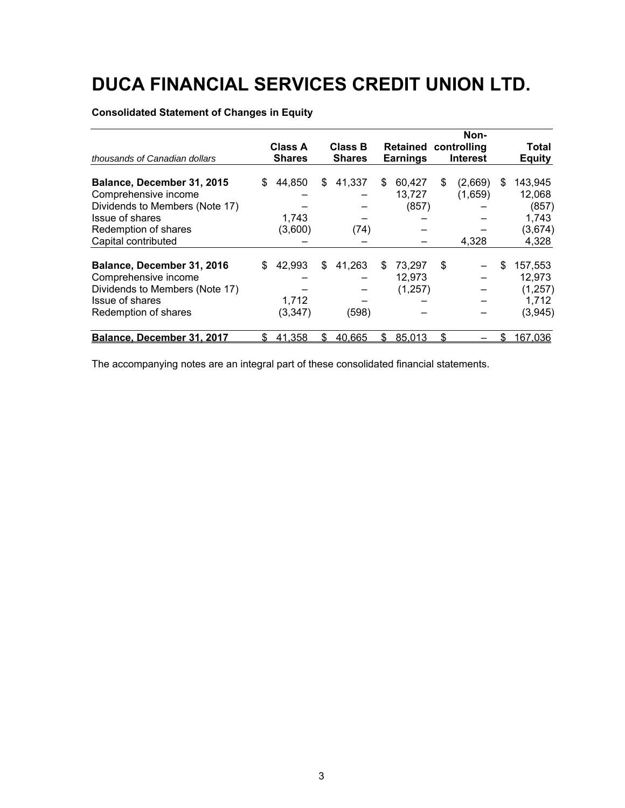### **Consolidated Statement of Changes in Equity**

|                                                                                                                                 |                                 |                             |                                 |                 |                 |                             |                                                | Non-               |    |                                                   |
|---------------------------------------------------------------------------------------------------------------------------------|---------------------------------|-----------------------------|---------------------------------|-----------------|-----------------|-----------------------------|------------------------------------------------|--------------------|----|---------------------------------------------------|
| thousands of Canadian dollars                                                                                                   | <b>Class A</b><br><b>Shares</b> |                             | <b>Class B</b><br><b>Shares</b> |                 | <b>Earnings</b> |                             | <b>Retained controlling</b><br><b>Interest</b> |                    |    | Total<br><b>Equity</b>                            |
| Balance, December 31, 2015<br>Comprehensive income<br>Dividends to Members (Note 17)<br>Issue of shares                         | S                               | 44,850<br>1,743             | \$                              | 41,337          | S               | 60,427<br>13,727<br>(857)   | \$                                             | (2,669)<br>(1,659) | S  | 143,945<br>12,068<br>(857)<br>1,743               |
| Redemption of shares<br>Capital contributed                                                                                     |                                 | (3,600)                     |                                 | (74)            |                 |                             |                                                | 4.328              |    | (3,674)<br>4,328                                  |
| Balance, December 31, 2016<br>Comprehensive income<br>Dividends to Members (Note 17)<br>Issue of shares<br>Redemption of shares | S                               | 42,993<br>1,712<br>(3, 347) | \$                              | 41,263<br>(598) | S               | 73,297<br>12,973<br>(1,257) | \$                                             |                    | \$ | 157,553<br>12,973<br>(1, 257)<br>1,712<br>(3,945) |
| Balance, December 31, 2017                                                                                                      |                                 | 41,358                      | \$.                             | 40,665          | \$.             | 85,013                      | \$                                             |                    | \$ | 167,036                                           |

The accompanying notes are an integral part of these consolidated financial statements.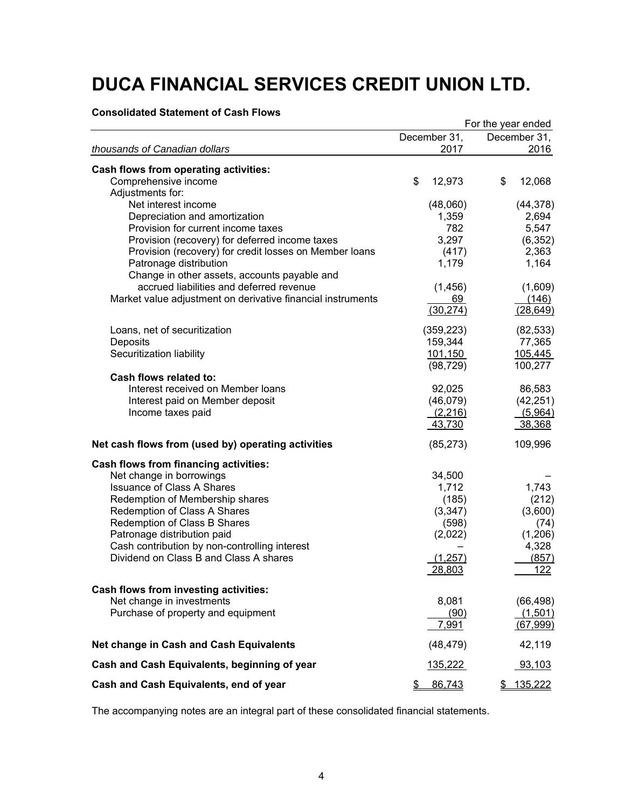### **Consolidated Statement of Cash Flows**

|                                                                                         | For the year ended |              |  |  |  |  |
|-----------------------------------------------------------------------------------------|--------------------|--------------|--|--|--|--|
|                                                                                         | December 31,       | December 31, |  |  |  |  |
| thousands of Canadian dollars                                                           | 2017               | 2016         |  |  |  |  |
| Cash flows from operating activities:                                                   |                    |              |  |  |  |  |
| Comprehensive income                                                                    | \$<br>12,973       | \$<br>12,068 |  |  |  |  |
| Adjustments for:                                                                        |                    |              |  |  |  |  |
| Net interest income                                                                     | (48,060)           | (44, 378)    |  |  |  |  |
| Depreciation and amortization                                                           | 1,359              | 2,694        |  |  |  |  |
| Provision for current income taxes                                                      | 782                | 5,547        |  |  |  |  |
| Provision (recovery) for deferred income taxes                                          | 3,297              | (6, 352)     |  |  |  |  |
| Provision (recovery) for credit losses on Member loans                                  | (417)              | 2,363        |  |  |  |  |
| Patronage distribution                                                                  | 1,179              | 1,164        |  |  |  |  |
| Change in other assets, accounts payable and                                            |                    |              |  |  |  |  |
| accrued liabilities and deferred revenue                                                | (1, 456)           | (1,609)      |  |  |  |  |
| Market value adjustment on derivative financial instruments                             | 69                 | (146)        |  |  |  |  |
|                                                                                         |                    |              |  |  |  |  |
|                                                                                         | (30, 274)          | (28, 649)    |  |  |  |  |
| Loans, net of securitization                                                            | (359, 223)         | (82, 533)    |  |  |  |  |
| Deposits                                                                                | 159,344            | 77,365       |  |  |  |  |
| Securitization liability                                                                | 101,150            | 105,445      |  |  |  |  |
|                                                                                         | (98, 729)          | 100,277      |  |  |  |  |
| Cash flows related to:                                                                  |                    |              |  |  |  |  |
| Interest received on Member loans                                                       | 92,025             | 86,583       |  |  |  |  |
| Interest paid on Member deposit                                                         | (46,079)           | (42, 251)    |  |  |  |  |
| Income taxes paid                                                                       |                    |              |  |  |  |  |
|                                                                                         | (2,216)            | (5,964)      |  |  |  |  |
|                                                                                         | 43,730             | 38,368       |  |  |  |  |
| Net cash flows from (used by) operating activities                                      | (85, 273)          | 109,996      |  |  |  |  |
| <b>Cash flows from financing activities:</b>                                            |                    |              |  |  |  |  |
| Net change in borrowings                                                                | 34,500             |              |  |  |  |  |
| <b>Issuance of Class A Shares</b>                                                       | 1,712              | 1,743        |  |  |  |  |
| Redemption of Membership shares                                                         | (185)              | (212)        |  |  |  |  |
| Redemption of Class A Shares                                                            | (3, 347)           | (3,600)      |  |  |  |  |
| Redemption of Class B Shares                                                            | (598)              | (74)         |  |  |  |  |
| Patronage distribution paid                                                             | (2,022)            | (1,206)      |  |  |  |  |
|                                                                                         |                    |              |  |  |  |  |
| Cash contribution by non-controlling interest<br>Dividend on Class B and Class A shares |                    | 4,328        |  |  |  |  |
|                                                                                         | (1, 257)           | (857)        |  |  |  |  |
|                                                                                         | 28,803             | 122          |  |  |  |  |
| Cash flows from investing activities:                                                   |                    |              |  |  |  |  |
| Net change in investments                                                               | 8,081              | (66, 498)    |  |  |  |  |
| Purchase of property and equipment                                                      | (90)               | (1,501)      |  |  |  |  |
|                                                                                         | 7,991              | (67, 999)    |  |  |  |  |
|                                                                                         |                    |              |  |  |  |  |
| Net change in Cash and Cash Equivalents                                                 | (48, 479)          | 42,119       |  |  |  |  |
| Cash and Cash Equivalents, beginning of year                                            | 135,222            | 93,103       |  |  |  |  |
| Cash and Cash Equivalents, end of year                                                  | 86,743<br>\$       | \$135,222    |  |  |  |  |

The accompanying notes are an integral part of these consolidated financial statements.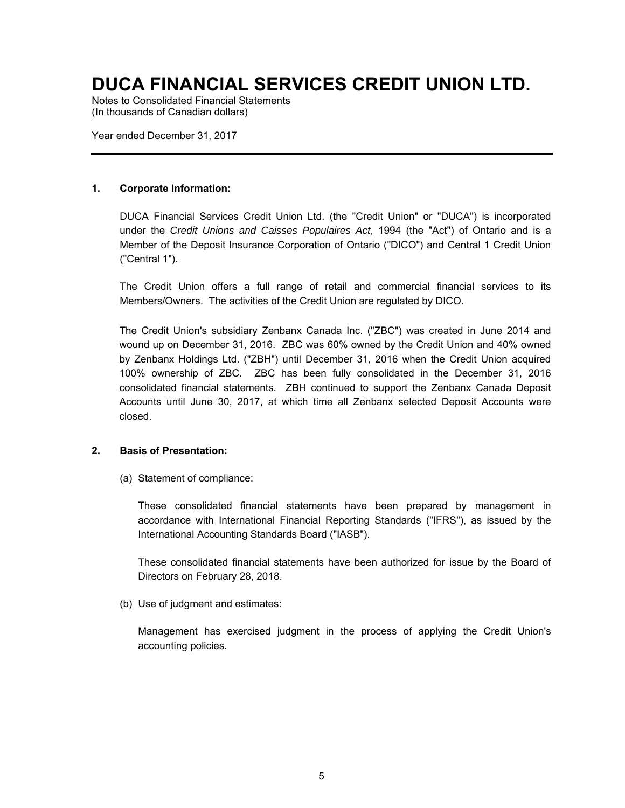Notes to Consolidated Financial Statements (In thousands of Canadian dollars)

Year ended December 31, 2017

### **1. Corporate Information:**

DUCA Financial Services Credit Union Ltd. (the "Credit Union" or "DUCA") is incorporated under the *Credit Unions and Caisses Populaires Act*, 1994 (the "Act") of Ontario and is a Member of the Deposit Insurance Corporation of Ontario ("DICO") and Central 1 Credit Union ("Central 1").

The Credit Union offers a full range of retail and commercial financial services to its Members/Owners. The activities of the Credit Union are regulated by DICO.

The Credit Union's subsidiary Zenbanx Canada Inc. ("ZBC") was created in June 2014 and wound up on December 31, 2016. ZBC was 60% owned by the Credit Union and 40% owned by Zenbanx Holdings Ltd. ("ZBH") until December 31, 2016 when the Credit Union acquired 100% ownership of ZBC. ZBC has been fully consolidated in the December 31, 2016 consolidated financial statements. ZBH continued to support the Zenbanx Canada Deposit Accounts until June 30, 2017, at which time all Zenbanx selected Deposit Accounts were closed.

### **2. Basis of Presentation:**

(a) Statement of compliance:

These consolidated financial statements have been prepared by management in accordance with International Financial Reporting Standards ("IFRS"), as issued by the International Accounting Standards Board ("IASB").

These consolidated financial statements have been authorized for issue by the Board of Directors on February 28, 2018.

(b) Use of judgment and estimates:

Management has exercised judgment in the process of applying the Credit Union's accounting policies.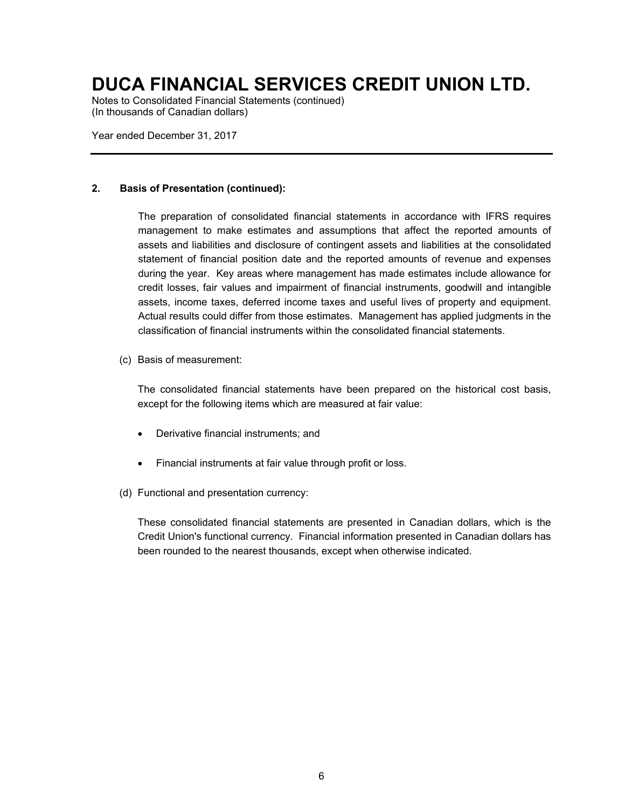Notes to Consolidated Financial Statements (continued) (In thousands of Canadian dollars)

Year ended December 31, 2017

### **2. Basis of Presentation (continued):**

The preparation of consolidated financial statements in accordance with IFRS requires management to make estimates and assumptions that affect the reported amounts of assets and liabilities and disclosure of contingent assets and liabilities at the consolidated statement of financial position date and the reported amounts of revenue and expenses during the year. Key areas where management has made estimates include allowance for credit losses, fair values and impairment of financial instruments, goodwill and intangible assets, income taxes, deferred income taxes and useful lives of property and equipment. Actual results could differ from those estimates. Management has applied judgments in the classification of financial instruments within the consolidated financial statements.

(c) Basis of measurement:

The consolidated financial statements have been prepared on the historical cost basis, except for the following items which are measured at fair value:

- Derivative financial instruments; and
- Financial instruments at fair value through profit or loss.
- (d) Functional and presentation currency:

These consolidated financial statements are presented in Canadian dollars, which is the Credit Union's functional currency. Financial information presented in Canadian dollars has been rounded to the nearest thousands, except when otherwise indicated.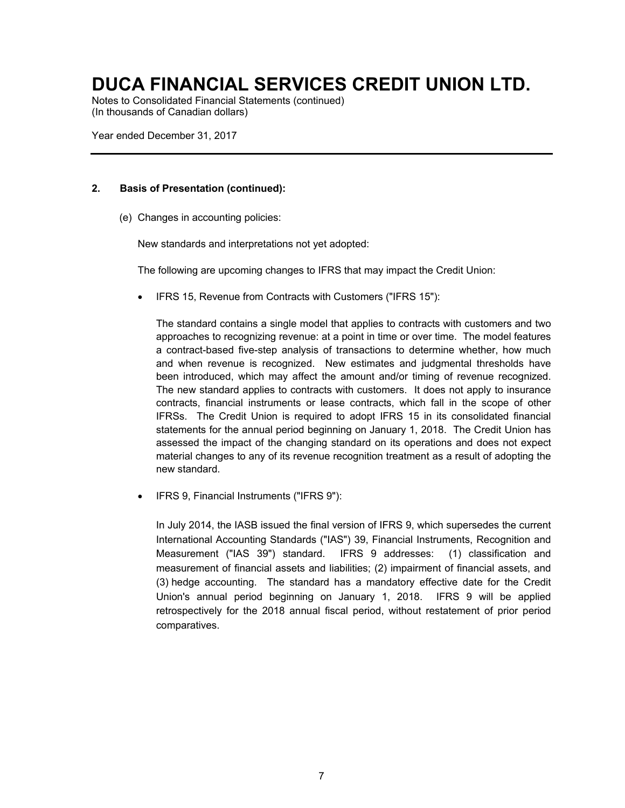Notes to Consolidated Financial Statements (continued) (In thousands of Canadian dollars)

Year ended December 31, 2017

### **2. Basis of Presentation (continued):**

(e) Changes in accounting policies:

New standards and interpretations not yet adopted:

The following are upcoming changes to IFRS that may impact the Credit Union:

IFRS 15, Revenue from Contracts with Customers ("IFRS 15"):

The standard contains a single model that applies to contracts with customers and two approaches to recognizing revenue: at a point in time or over time. The model features a contract-based five-step analysis of transactions to determine whether, how much and when revenue is recognized. New estimates and judgmental thresholds have been introduced, which may affect the amount and/or timing of revenue recognized. The new standard applies to contracts with customers. It does not apply to insurance contracts, financial instruments or lease contracts, which fall in the scope of other IFRSs. The Credit Union is required to adopt IFRS 15 in its consolidated financial statements for the annual period beginning on January 1, 2018. The Credit Union has assessed the impact of the changing standard on its operations and does not expect material changes to any of its revenue recognition treatment as a result of adopting the new standard.

IFRS 9, Financial Instruments ("IFRS 9"):

In July 2014, the IASB issued the final version of IFRS 9, which supersedes the current International Accounting Standards ("IAS") 39, Financial Instruments, Recognition and Measurement ("IAS 39") standard. IFRS 9 addresses: (1) classification and measurement of financial assets and liabilities; (2) impairment of financial assets, and (3) hedge accounting. The standard has a mandatory effective date for the Credit Union's annual period beginning on January 1, 2018. IFRS 9 will be applied retrospectively for the 2018 annual fiscal period, without restatement of prior period comparatives.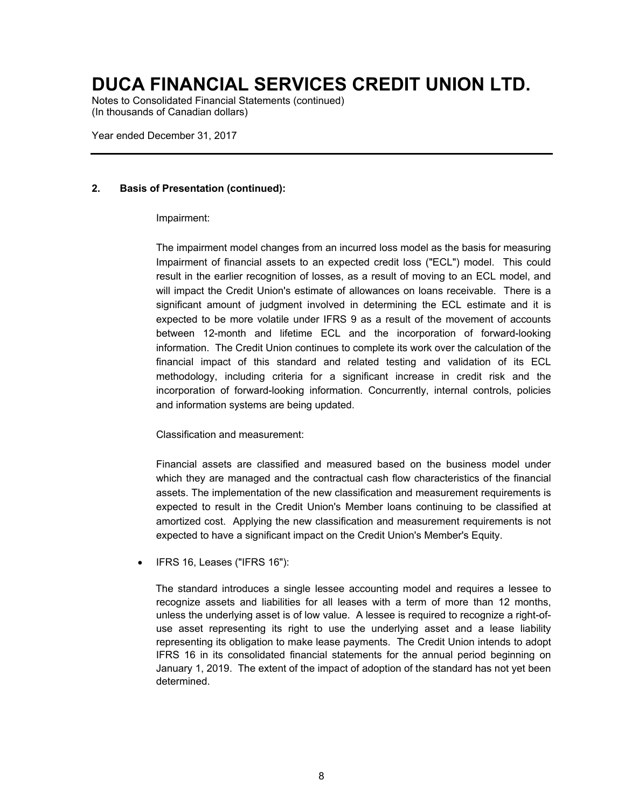Notes to Consolidated Financial Statements (continued) (In thousands of Canadian dollars)

Year ended December 31, 2017

### **2. Basis of Presentation (continued):**

#### Impairment:

The impairment model changes from an incurred loss model as the basis for measuring Impairment of financial assets to an expected credit loss ("ECL") model. This could result in the earlier recognition of losses, as a result of moving to an ECL model, and will impact the Credit Union's estimate of allowances on loans receivable. There is a significant amount of judgment involved in determining the ECL estimate and it is expected to be more volatile under IFRS 9 as a result of the movement of accounts between 12-month and lifetime ECL and the incorporation of forward-looking information. The Credit Union continues to complete its work over the calculation of the financial impact of this standard and related testing and validation of its ECL methodology, including criteria for a significant increase in credit risk and the incorporation of forward-looking information. Concurrently, internal controls, policies and information systems are being updated.

Classification and measurement:

Financial assets are classified and measured based on the business model under which they are managed and the contractual cash flow characteristics of the financial assets. The implementation of the new classification and measurement requirements is expected to result in the Credit Union's Member loans continuing to be classified at amortized cost. Applying the new classification and measurement requirements is not expected to have a significant impact on the Credit Union's Member's Equity.

IFRS 16, Leases ("IFRS 16"):

The standard introduces a single lessee accounting model and requires a lessee to recognize assets and liabilities for all leases with a term of more than 12 months, unless the underlying asset is of low value. A lessee is required to recognize a right-ofuse asset representing its right to use the underlying asset and a lease liability representing its obligation to make lease payments. The Credit Union intends to adopt IFRS 16 in its consolidated financial statements for the annual period beginning on January 1, 2019. The extent of the impact of adoption of the standard has not yet been determined.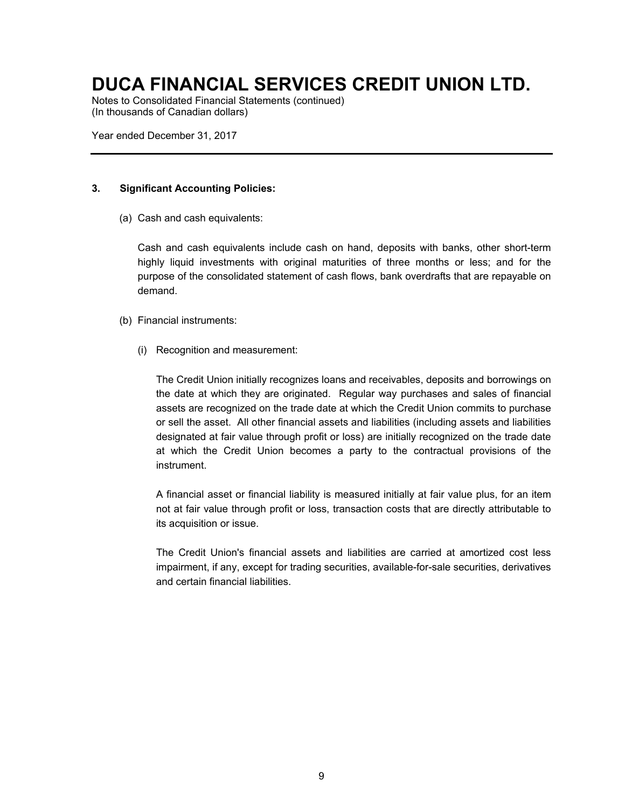Notes to Consolidated Financial Statements (continued) (In thousands of Canadian dollars)

Year ended December 31, 2017

### **3. Significant Accounting Policies:**

(a) Cash and cash equivalents:

Cash and cash equivalents include cash on hand, deposits with banks, other short-term highly liquid investments with original maturities of three months or less; and for the purpose of the consolidated statement of cash flows, bank overdrafts that are repayable on demand.

- (b) Financial instruments:
	- (i) Recognition and measurement:

The Credit Union initially recognizes loans and receivables, deposits and borrowings on the date at which they are originated. Regular way purchases and sales of financial assets are recognized on the trade date at which the Credit Union commits to purchase or sell the asset. All other financial assets and liabilities (including assets and liabilities designated at fair value through profit or loss) are initially recognized on the trade date at which the Credit Union becomes a party to the contractual provisions of the instrument.

A financial asset or financial liability is measured initially at fair value plus, for an item not at fair value through profit or loss, transaction costs that are directly attributable to its acquisition or issue.

The Credit Union's financial assets and liabilities are carried at amortized cost less impairment, if any, except for trading securities, available-for-sale securities, derivatives and certain financial liabilities.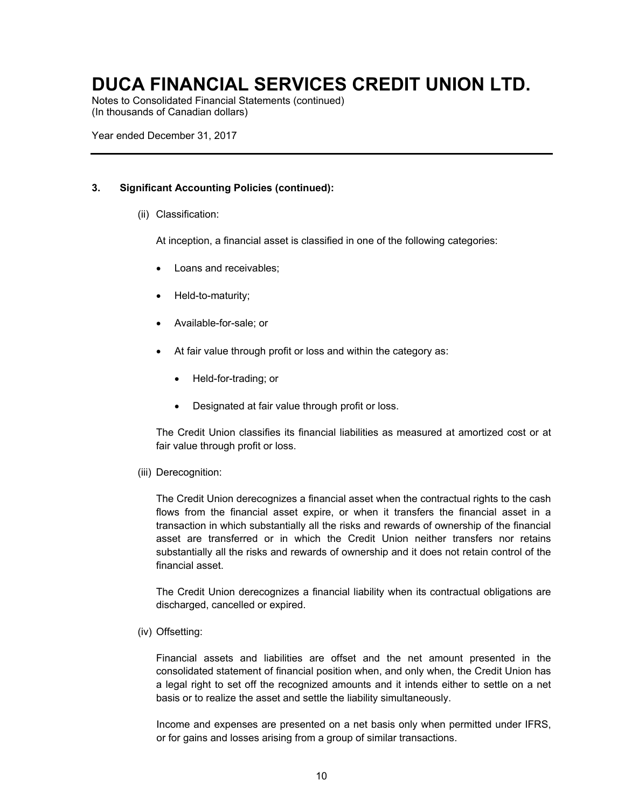Notes to Consolidated Financial Statements (continued) (In thousands of Canadian dollars)

Year ended December 31, 2017

### **3. Significant Accounting Policies (continued):**

(ii) Classification:

At inception, a financial asset is classified in one of the following categories:

- Loans and receivables;
- Held-to-maturity;
- Available-for-sale; or
- At fair value through profit or loss and within the category as:
	- Held-for-trading; or
	- Designated at fair value through profit or loss.

The Credit Union classifies its financial liabilities as measured at amortized cost or at fair value through profit or loss.

(iii) Derecognition:

The Credit Union derecognizes a financial asset when the contractual rights to the cash flows from the financial asset expire, or when it transfers the financial asset in a transaction in which substantially all the risks and rewards of ownership of the financial asset are transferred or in which the Credit Union neither transfers nor retains substantially all the risks and rewards of ownership and it does not retain control of the financial asset.

The Credit Union derecognizes a financial liability when its contractual obligations are discharged, cancelled or expired.

(iv) Offsetting:

Financial assets and liabilities are offset and the net amount presented in the consolidated statement of financial position when, and only when, the Credit Union has a legal right to set off the recognized amounts and it intends either to settle on a net basis or to realize the asset and settle the liability simultaneously.

Income and expenses are presented on a net basis only when permitted under IFRS, or for gains and losses arising from a group of similar transactions.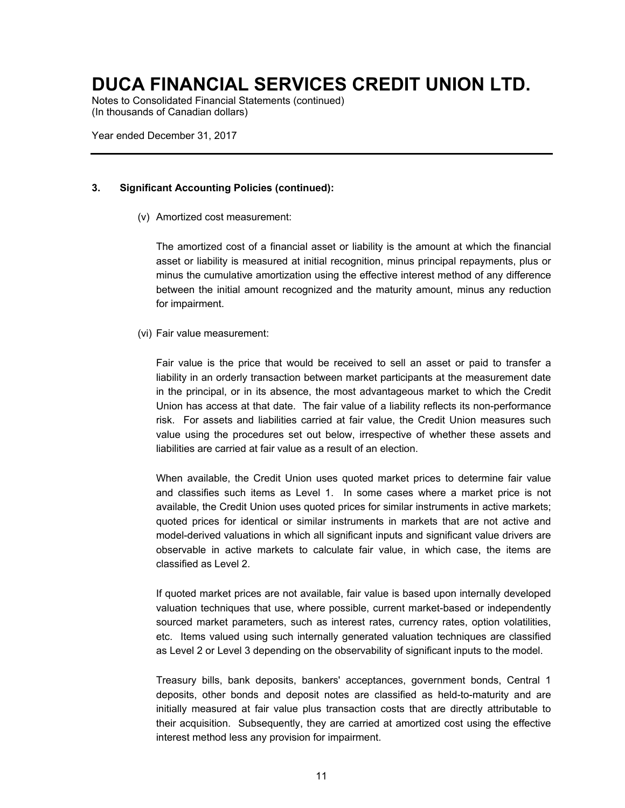Notes to Consolidated Financial Statements (continued) (In thousands of Canadian dollars)

Year ended December 31, 2017

### **3. Significant Accounting Policies (continued):**

(v) Amortized cost measurement:

The amortized cost of a financial asset or liability is the amount at which the financial asset or liability is measured at initial recognition, minus principal repayments, plus or minus the cumulative amortization using the effective interest method of any difference between the initial amount recognized and the maturity amount, minus any reduction for impairment.

#### (vi) Fair value measurement:

Fair value is the price that would be received to sell an asset or paid to transfer a liability in an orderly transaction between market participants at the measurement date in the principal, or in its absence, the most advantageous market to which the Credit Union has access at that date. The fair value of a liability reflects its non-performance risk. For assets and liabilities carried at fair value, the Credit Union measures such value using the procedures set out below, irrespective of whether these assets and liabilities are carried at fair value as a result of an election.

When available, the Credit Union uses quoted market prices to determine fair value and classifies such items as Level 1. In some cases where a market price is not available, the Credit Union uses quoted prices for similar instruments in active markets; quoted prices for identical or similar instruments in markets that are not active and model-derived valuations in which all significant inputs and significant value drivers are observable in active markets to calculate fair value, in which case, the items are classified as Level 2.

If quoted market prices are not available, fair value is based upon internally developed valuation techniques that use, where possible, current market-based or independently sourced market parameters, such as interest rates, currency rates, option volatilities, etc. Items valued using such internally generated valuation techniques are classified as Level 2 or Level 3 depending on the observability of significant inputs to the model.

Treasury bills, bank deposits, bankers' acceptances, government bonds, Central 1 deposits, other bonds and deposit notes are classified as held-to-maturity and are initially measured at fair value plus transaction costs that are directly attributable to their acquisition. Subsequently, they are carried at amortized cost using the effective interest method less any provision for impairment.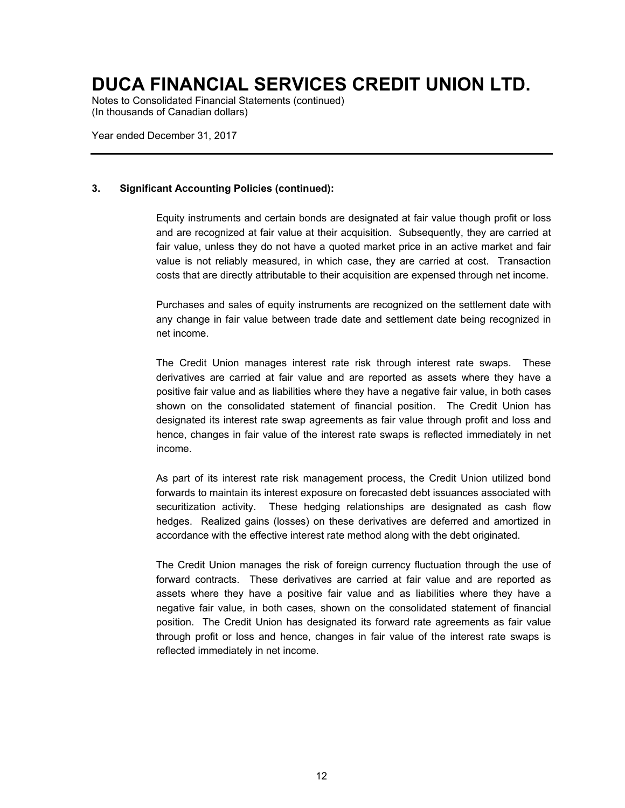Notes to Consolidated Financial Statements (continued) (In thousands of Canadian dollars)

Year ended December 31, 2017

### **3. Significant Accounting Policies (continued):**

Equity instruments and certain bonds are designated at fair value though profit or loss and are recognized at fair value at their acquisition. Subsequently, they are carried at fair value, unless they do not have a quoted market price in an active market and fair value is not reliably measured, in which case, they are carried at cost. Transaction costs that are directly attributable to their acquisition are expensed through net income.

Purchases and sales of equity instruments are recognized on the settlement date with any change in fair value between trade date and settlement date being recognized in net income.

The Credit Union manages interest rate risk through interest rate swaps. These derivatives are carried at fair value and are reported as assets where they have a positive fair value and as liabilities where they have a negative fair value, in both cases shown on the consolidated statement of financial position. The Credit Union has designated its interest rate swap agreements as fair value through profit and loss and hence, changes in fair value of the interest rate swaps is reflected immediately in net income.

As part of its interest rate risk management process, the Credit Union utilized bond forwards to maintain its interest exposure on forecasted debt issuances associated with securitization activity. These hedging relationships are designated as cash flow hedges. Realized gains (losses) on these derivatives are deferred and amortized in accordance with the effective interest rate method along with the debt originated.

The Credit Union manages the risk of foreign currency fluctuation through the use of forward contracts. These derivatives are carried at fair value and are reported as assets where they have a positive fair value and as liabilities where they have a negative fair value, in both cases, shown on the consolidated statement of financial position. The Credit Union has designated its forward rate agreements as fair value through profit or loss and hence, changes in fair value of the interest rate swaps is reflected immediately in net income.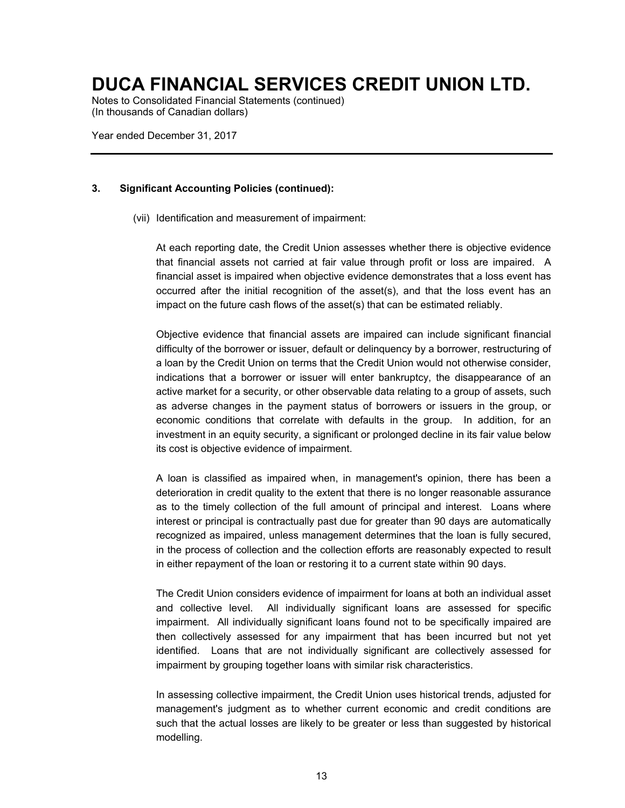Notes to Consolidated Financial Statements (continued) (In thousands of Canadian dollars)

Year ended December 31, 2017

### **3. Significant Accounting Policies (continued):**

(vii) Identification and measurement of impairment:

At each reporting date, the Credit Union assesses whether there is objective evidence that financial assets not carried at fair value through profit or loss are impaired. A financial asset is impaired when objective evidence demonstrates that a loss event has occurred after the initial recognition of the asset(s), and that the loss event has an impact on the future cash flows of the asset(s) that can be estimated reliably.

Objective evidence that financial assets are impaired can include significant financial difficulty of the borrower or issuer, default or delinquency by a borrower, restructuring of a loan by the Credit Union on terms that the Credit Union would not otherwise consider, indications that a borrower or issuer will enter bankruptcy, the disappearance of an active market for a security, or other observable data relating to a group of assets, such as adverse changes in the payment status of borrowers or issuers in the group, or economic conditions that correlate with defaults in the group. In addition, for an investment in an equity security, a significant or prolonged decline in its fair value below its cost is objective evidence of impairment.

A loan is classified as impaired when, in management's opinion, there has been a deterioration in credit quality to the extent that there is no longer reasonable assurance as to the timely collection of the full amount of principal and interest. Loans where interest or principal is contractually past due for greater than 90 days are automatically recognized as impaired, unless management determines that the loan is fully secured, in the process of collection and the collection efforts are reasonably expected to result in either repayment of the loan or restoring it to a current state within 90 days.

The Credit Union considers evidence of impairment for loans at both an individual asset and collective level. All individually significant loans are assessed for specific impairment. All individually significant loans found not to be specifically impaired are then collectively assessed for any impairment that has been incurred but not yet identified. Loans that are not individually significant are collectively assessed for impairment by grouping together loans with similar risk characteristics.

In assessing collective impairment, the Credit Union uses historical trends, adjusted for management's judgment as to whether current economic and credit conditions are such that the actual losses are likely to be greater or less than suggested by historical modelling.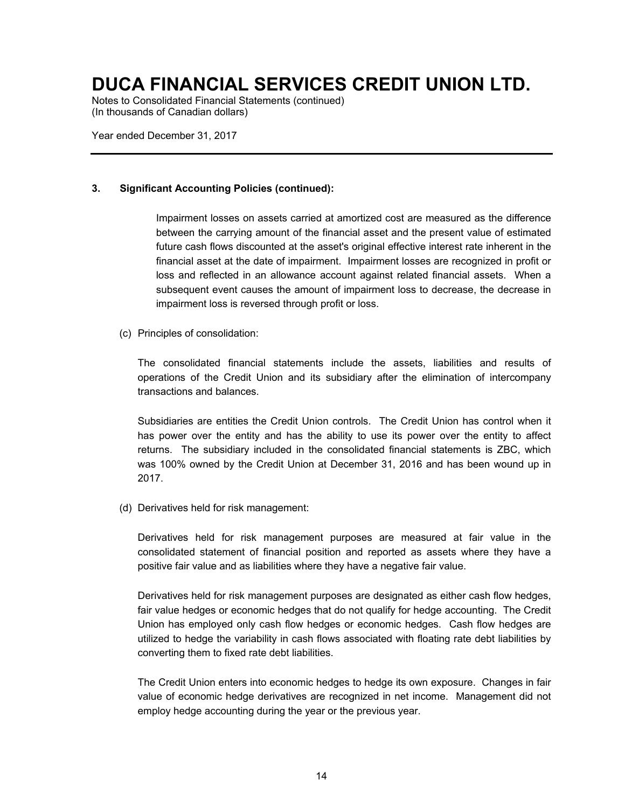Notes to Consolidated Financial Statements (continued) (In thousands of Canadian dollars)

Year ended December 31, 2017

### **3. Significant Accounting Policies (continued):**

Impairment losses on assets carried at amortized cost are measured as the difference between the carrying amount of the financial asset and the present value of estimated future cash flows discounted at the asset's original effective interest rate inherent in the financial asset at the date of impairment. Impairment losses are recognized in profit or loss and reflected in an allowance account against related financial assets. When a subsequent event causes the amount of impairment loss to decrease, the decrease in impairment loss is reversed through profit or loss.

(c) Principles of consolidation:

The consolidated financial statements include the assets, liabilities and results of operations of the Credit Union and its subsidiary after the elimination of intercompany transactions and balances.

Subsidiaries are entities the Credit Union controls. The Credit Union has control when it has power over the entity and has the ability to use its power over the entity to affect returns. The subsidiary included in the consolidated financial statements is ZBC, which was 100% owned by the Credit Union at December 31, 2016 and has been wound up in 2017.

(d) Derivatives held for risk management:

Derivatives held for risk management purposes are measured at fair value in the consolidated statement of financial position and reported as assets where they have a positive fair value and as liabilities where they have a negative fair value.

Derivatives held for risk management purposes are designated as either cash flow hedges, fair value hedges or economic hedges that do not qualify for hedge accounting. The Credit Union has employed only cash flow hedges or economic hedges. Cash flow hedges are utilized to hedge the variability in cash flows associated with floating rate debt liabilities by converting them to fixed rate debt liabilities.

The Credit Union enters into economic hedges to hedge its own exposure. Changes in fair value of economic hedge derivatives are recognized in net income. Management did not employ hedge accounting during the year or the previous year.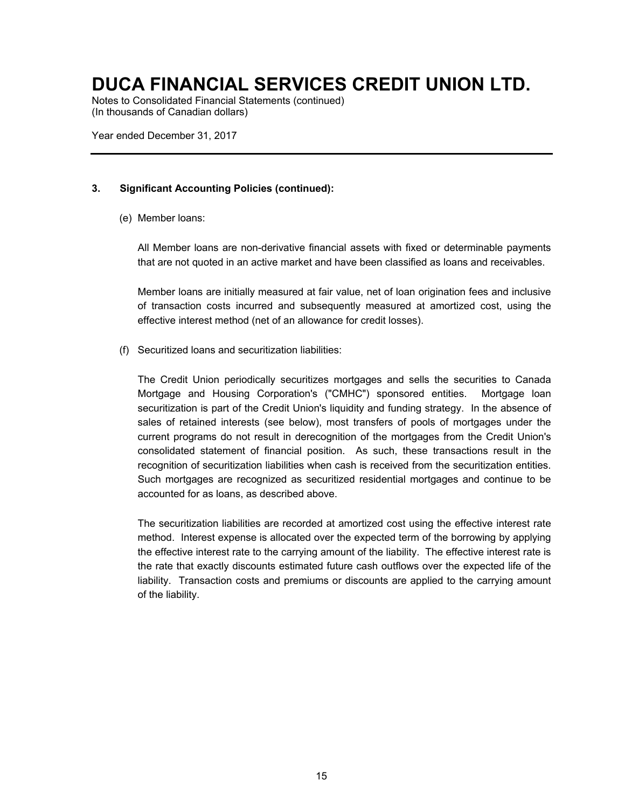Notes to Consolidated Financial Statements (continued) (In thousands of Canadian dollars)

Year ended December 31, 2017

### **3. Significant Accounting Policies (continued):**

(e) Member loans:

All Member loans are non-derivative financial assets with fixed or determinable payments that are not quoted in an active market and have been classified as loans and receivables.

Member loans are initially measured at fair value, net of loan origination fees and inclusive of transaction costs incurred and subsequently measured at amortized cost, using the effective interest method (net of an allowance for credit losses).

(f) Securitized loans and securitization liabilities:

The Credit Union periodically securitizes mortgages and sells the securities to Canada Mortgage and Housing Corporation's ("CMHC") sponsored entities. Mortgage loan securitization is part of the Credit Union's liquidity and funding strategy. In the absence of sales of retained interests (see below), most transfers of pools of mortgages under the current programs do not result in derecognition of the mortgages from the Credit Union's consolidated statement of financial position. As such, these transactions result in the recognition of securitization liabilities when cash is received from the securitization entities. Such mortgages are recognized as securitized residential mortgages and continue to be accounted for as loans, as described above.

The securitization liabilities are recorded at amortized cost using the effective interest rate method. Interest expense is allocated over the expected term of the borrowing by applying the effective interest rate to the carrying amount of the liability. The effective interest rate is the rate that exactly discounts estimated future cash outflows over the expected life of the liability. Transaction costs and premiums or discounts are applied to the carrying amount of the liability.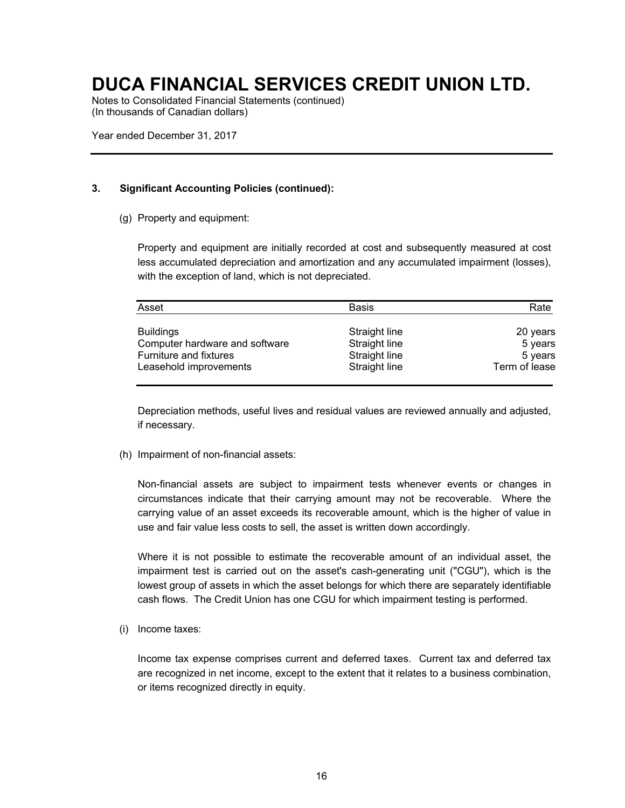Notes to Consolidated Financial Statements (continued) (In thousands of Canadian dollars)

Year ended December 31, 2017

### **3. Significant Accounting Policies (continued):**

(g) Property and equipment:

Property and equipment are initially recorded at cost and subsequently measured at cost less accumulated depreciation and amortization and any accumulated impairment (losses), with the exception of land, which is not depreciated.

| Asset                          | <b>Basis</b>  | Rate          |
|--------------------------------|---------------|---------------|
| <b>Buildings</b>               | Straight line | 20 years      |
| Computer hardware and software | Straight line | 5 years       |
| Furniture and fixtures         | Straight line | 5 years       |
| Leasehold improvements         | Straight line | Term of lease |

Depreciation methods, useful lives and residual values are reviewed annually and adjusted, if necessary.

(h) Impairment of non-financial assets:

Non-financial assets are subject to impairment tests whenever events or changes in circumstances indicate that their carrying amount may not be recoverable. Where the carrying value of an asset exceeds its recoverable amount, which is the higher of value in use and fair value less costs to sell, the asset is written down accordingly.

Where it is not possible to estimate the recoverable amount of an individual asset, the impairment test is carried out on the asset's cash-generating unit ("CGU"), which is the lowest group of assets in which the asset belongs for which there are separately identifiable cash flows. The Credit Union has one CGU for which impairment testing is performed.

(i) Income taxes:

Income tax expense comprises current and deferred taxes. Current tax and deferred tax are recognized in net income, except to the extent that it relates to a business combination, or items recognized directly in equity.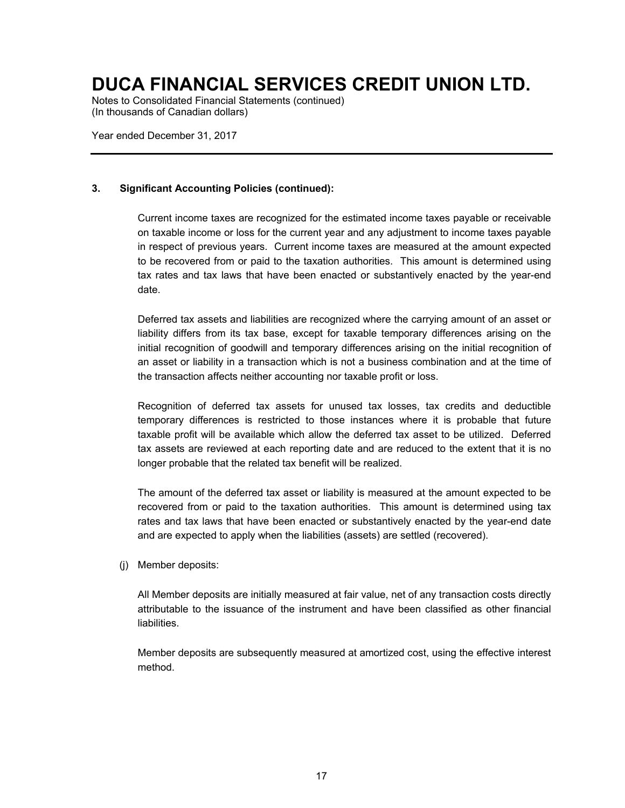Notes to Consolidated Financial Statements (continued) (In thousands of Canadian dollars)

Year ended December 31, 2017

### **3. Significant Accounting Policies (continued):**

Current income taxes are recognized for the estimated income taxes payable or receivable on taxable income or loss for the current year and any adjustment to income taxes payable in respect of previous years. Current income taxes are measured at the amount expected to be recovered from or paid to the taxation authorities. This amount is determined using tax rates and tax laws that have been enacted or substantively enacted by the year-end date.

Deferred tax assets and liabilities are recognized where the carrying amount of an asset or liability differs from its tax base, except for taxable temporary differences arising on the initial recognition of goodwill and temporary differences arising on the initial recognition of an asset or liability in a transaction which is not a business combination and at the time of the transaction affects neither accounting nor taxable profit or loss.

Recognition of deferred tax assets for unused tax losses, tax credits and deductible temporary differences is restricted to those instances where it is probable that future taxable profit will be available which allow the deferred tax asset to be utilized. Deferred tax assets are reviewed at each reporting date and are reduced to the extent that it is no longer probable that the related tax benefit will be realized.

The amount of the deferred tax asset or liability is measured at the amount expected to be recovered from or paid to the taxation authorities. This amount is determined using tax rates and tax laws that have been enacted or substantively enacted by the year-end date and are expected to apply when the liabilities (assets) are settled (recovered).

(j) Member deposits:

All Member deposits are initially measured at fair value, net of any transaction costs directly attributable to the issuance of the instrument and have been classified as other financial liabilities.

Member deposits are subsequently measured at amortized cost, using the effective interest method.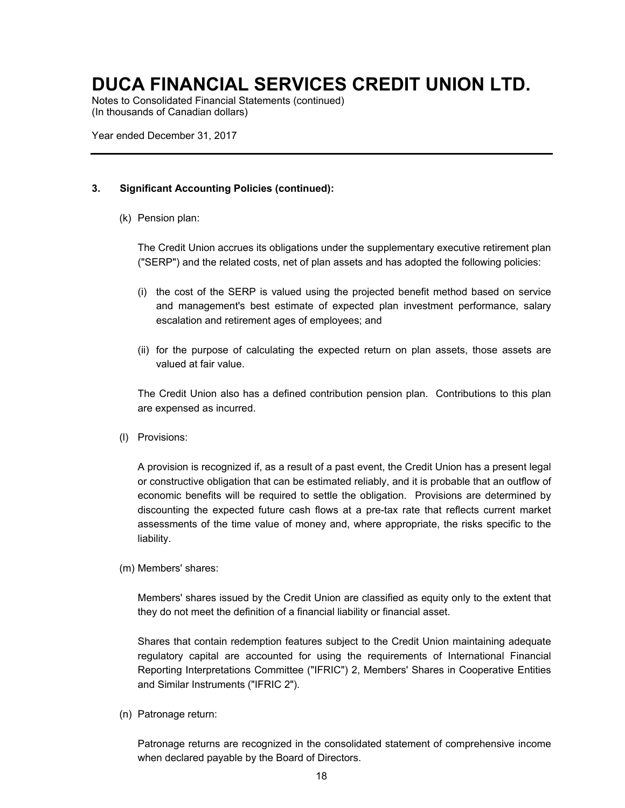Notes to Consolidated Financial Statements (continued) (In thousands of Canadian dollars)

Year ended December 31, 2017

### **3. Significant Accounting Policies (continued):**

(k) Pension plan:

The Credit Union accrues its obligations under the supplementary executive retirement plan ("SERP") and the related costs, net of plan assets and has adopted the following policies:

- (i) the cost of the SERP is valued using the projected benefit method based on service and management's best estimate of expected plan investment performance, salary escalation and retirement ages of employees; and
- (ii) for the purpose of calculating the expected return on plan assets, those assets are valued at fair value.

The Credit Union also has a defined contribution pension plan. Contributions to this plan are expensed as incurred.

(l) Provisions:

A provision is recognized if, as a result of a past event, the Credit Union has a present legal or constructive obligation that can be estimated reliably, and it is probable that an outflow of economic benefits will be required to settle the obligation. Provisions are determined by discounting the expected future cash flows at a pre-tax rate that reflects current market assessments of the time value of money and, where appropriate, the risks specific to the liability.

(m) Members' shares:

Members' shares issued by the Credit Union are classified as equity only to the extent that they do not meet the definition of a financial liability or financial asset.

Shares that contain redemption features subject to the Credit Union maintaining adequate regulatory capital are accounted for using the requirements of International Financial Reporting Interpretations Committee ("IFRIC") 2, Members' Shares in Cooperative Entities and Similar Instruments ("IFRIC 2").

(n) Patronage return:

Patronage returns are recognized in the consolidated statement of comprehensive income when declared payable by the Board of Directors.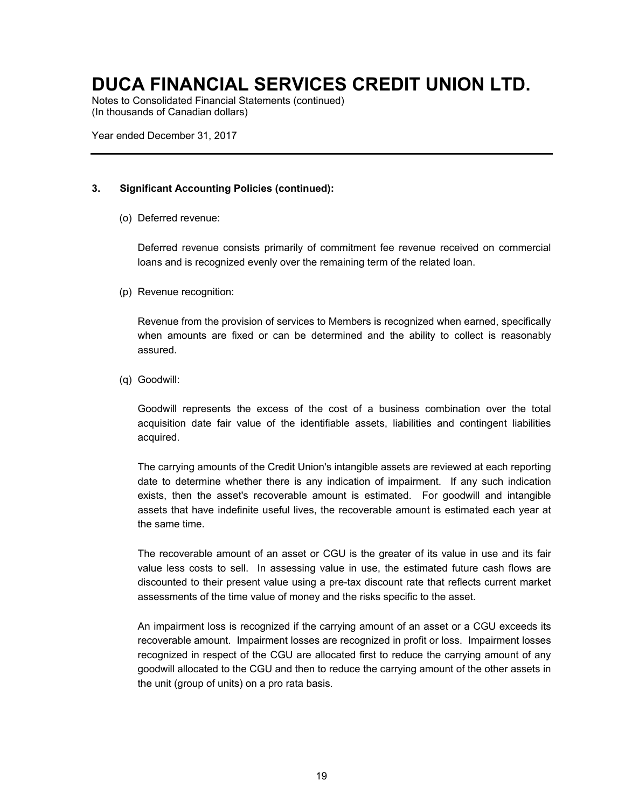Notes to Consolidated Financial Statements (continued) (In thousands of Canadian dollars)

Year ended December 31, 2017

### **3. Significant Accounting Policies (continued):**

(o) Deferred revenue:

Deferred revenue consists primarily of commitment fee revenue received on commercial loans and is recognized evenly over the remaining term of the related loan.

(p) Revenue recognition:

Revenue from the provision of services to Members is recognized when earned, specifically when amounts are fixed or can be determined and the ability to collect is reasonably assured.

(q) Goodwill:

Goodwill represents the excess of the cost of a business combination over the total acquisition date fair value of the identifiable assets, liabilities and contingent liabilities acquired.

The carrying amounts of the Credit Union's intangible assets are reviewed at each reporting date to determine whether there is any indication of impairment. If any such indication exists, then the asset's recoverable amount is estimated. For goodwill and intangible assets that have indefinite useful lives, the recoverable amount is estimated each year at the same time.

The recoverable amount of an asset or CGU is the greater of its value in use and its fair value less costs to sell. In assessing value in use, the estimated future cash flows are discounted to their present value using a pre-tax discount rate that reflects current market assessments of the time value of money and the risks specific to the asset.

An impairment loss is recognized if the carrying amount of an asset or a CGU exceeds its recoverable amount. Impairment losses are recognized in profit or loss. Impairment losses recognized in respect of the CGU are allocated first to reduce the carrying amount of any goodwill allocated to the CGU and then to reduce the carrying amount of the other assets in the unit (group of units) on a pro rata basis.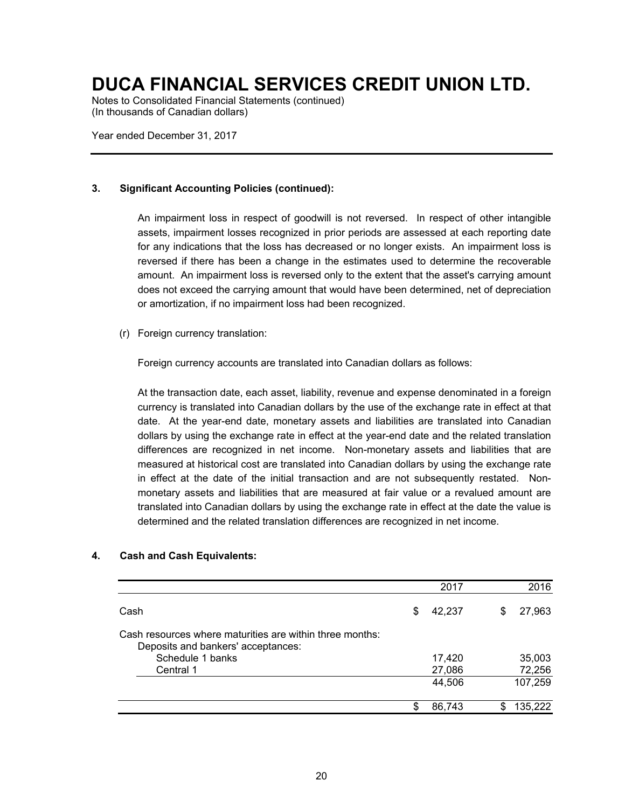Notes to Consolidated Financial Statements (continued) (In thousands of Canadian dollars)

Year ended December 31, 2017

### **3. Significant Accounting Policies (continued):**

An impairment loss in respect of goodwill is not reversed. In respect of other intangible assets, impairment losses recognized in prior periods are assessed at each reporting date for any indications that the loss has decreased or no longer exists. An impairment loss is reversed if there has been a change in the estimates used to determine the recoverable amount. An impairment loss is reversed only to the extent that the asset's carrying amount does not exceed the carrying amount that would have been determined, net of depreciation or amortization, if no impairment loss had been recognized.

(r) Foreign currency translation:

Foreign currency accounts are translated into Canadian dollars as follows:

At the transaction date, each asset, liability, revenue and expense denominated in a foreign currency is translated into Canadian dollars by the use of the exchange rate in effect at that date. At the year-end date, monetary assets and liabilities are translated into Canadian dollars by using the exchange rate in effect at the year-end date and the related translation differences are recognized in net income. Non-monetary assets and liabilities that are measured at historical cost are translated into Canadian dollars by using the exchange rate in effect at the date of the initial transaction and are not subsequently restated. Nonmonetary assets and liabilities that are measured at fair value or a revalued amount are translated into Canadian dollars by using the exchange rate in effect at the date the value is determined and the related translation differences are recognized in net income.

|                                                                                                | 2017         |    | 2016    |
|------------------------------------------------------------------------------------------------|--------------|----|---------|
| Cash                                                                                           | \$<br>42,237 | \$ | 27,963  |
| Cash resources where maturities are within three months:<br>Deposits and bankers' acceptances: |              |    |         |
| Schedule 1 banks                                                                               | 17,420       |    | 35,003  |
| Central 1                                                                                      | 27,086       |    | 72,256  |
|                                                                                                | 44,506       |    | 107,259 |
|                                                                                                | 86,743       | S  | 135,222 |

### **4. Cash and Cash Equivalents:**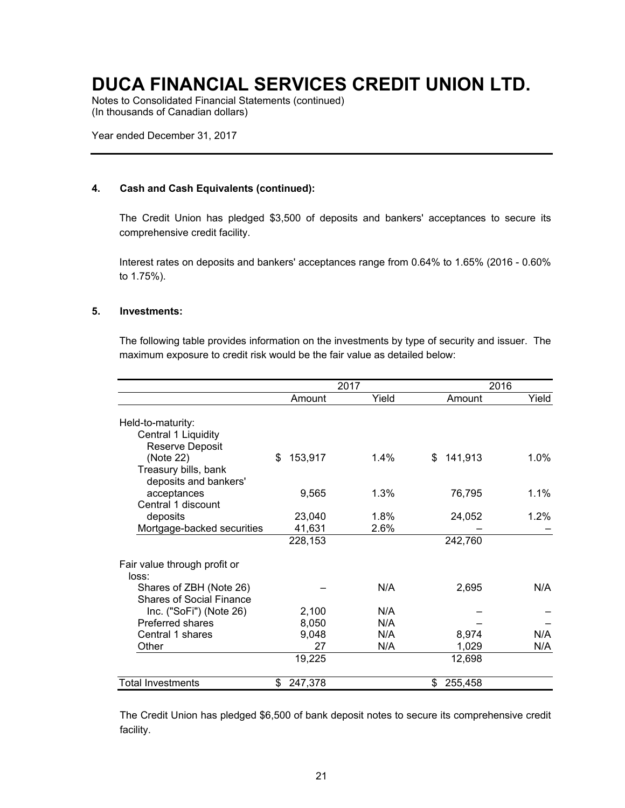Notes to Consolidated Financial Statements (continued) (In thousands of Canadian dollars)

Year ended December 31, 2017

### **4. Cash and Cash Equivalents (continued):**

The Credit Union has pledged \$3,500 of deposits and bankers' acceptances to secure its comprehensive credit facility.

Interest rates on deposits and bankers' acceptances range from 0.64% to 1.65% (2016 - 0.60% to 1.75%).

### **5. Investments:**

The following table provides information on the investments by type of security and issuer. The maximum exposure to credit risk would be the fair value as detailed below:

|                                               |               | 2017    |               | 2016    |  |  |
|-----------------------------------------------|---------------|---------|---------------|---------|--|--|
|                                               | Amount        | Yield   | Amount        | Yield   |  |  |
| Held-to-maturity:<br>Central 1 Liquidity      |               |         |               |         |  |  |
| Reserve Deposit                               |               |         |               |         |  |  |
| (Note 22)                                     | \$<br>153,917 | $1.4\%$ | 141,913<br>\$ | $1.0\%$ |  |  |
| Treasury bills, bank<br>deposits and bankers' |               |         |               |         |  |  |
| acceptances                                   | 9,565         | 1.3%    | 76,795        | $1.1\%$ |  |  |
| Central 1 discount                            |               |         |               |         |  |  |
| deposits                                      | 23,040        | 1.8%    | 24,052        | $1.2\%$ |  |  |
| Mortgage-backed securities                    | 41,631        | 2.6%    |               |         |  |  |
|                                               | 228,153       |         | 242,760       |         |  |  |
| Fair value through profit or                  |               |         |               |         |  |  |
| loss:                                         |               |         |               |         |  |  |
| Shares of ZBH (Note 26)                       |               | N/A     | 2,695         | N/A     |  |  |
| <b>Shares of Social Finance</b>               |               |         |               |         |  |  |
| Inc. ("SoFi") (Note 26)                       | 2,100         | N/A     |               |         |  |  |
| <b>Preferred shares</b>                       | 8,050         | N/A     |               |         |  |  |
| Central 1 shares                              | 9,048         | N/A     | 8,974         | N/A     |  |  |
| Other                                         | 27            | N/A     | 1,029         | N/A     |  |  |
|                                               | 19,225        |         | 12,698        |         |  |  |
| <b>Total Investments</b>                      | 247,378<br>\$ |         | \$<br>255,458 |         |  |  |

The Credit Union has pledged \$6,500 of bank deposit notes to secure its comprehensive credit facility.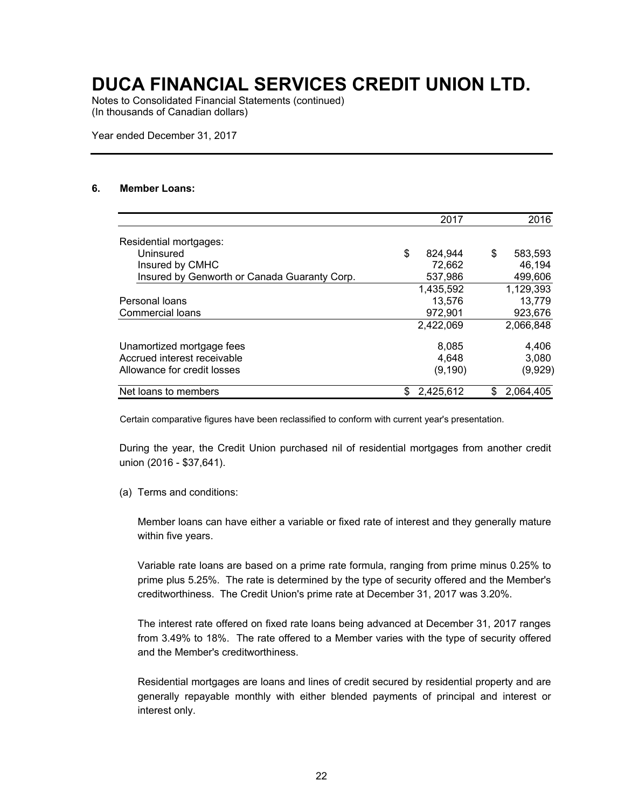Notes to Consolidated Financial Statements (continued) (In thousands of Canadian dollars)

Year ended December 31, 2017

### **6. Member Loans:**

|                                              |     | 2017      |    | 2016      |
|----------------------------------------------|-----|-----------|----|-----------|
| Residential mortgages:                       |     |           |    |           |
| Uninsured                                    | \$  | 824.944   | \$ | 583,593   |
| Insured by CMHC                              |     | 72,662    |    | 46.194    |
| Insured by Genworth or Canada Guaranty Corp. |     | 537,986   |    | 499,606   |
|                                              |     | 1,435,592 |    | 1,129,393 |
| Personal loans                               |     | 13,576    |    | 13,779    |
| Commercial loans                             |     | 972,901   |    | 923,676   |
|                                              |     | 2,422,069 |    | 2,066,848 |
| Unamortized mortgage fees                    |     | 8,085     |    | 4,406     |
| Accrued interest receivable                  |     | 4.648     |    | 3,080     |
| Allowance for credit losses                  |     | (9, 190)  |    | (9,929)   |
| Net loans to members                         | \$. | 2,425,612 | S  | 2.064.405 |

Certain comparative figures have been reclassified to conform with current year's presentation.

During the year, the Credit Union purchased nil of residential mortgages from another credit union (2016 - \$37,641).

(a) Terms and conditions:

Member loans can have either a variable or fixed rate of interest and they generally mature within five years.

Variable rate loans are based on a prime rate formula, ranging from prime minus 0.25% to prime plus 5.25%. The rate is determined by the type of security offered and the Member's creditworthiness. The Credit Union's prime rate at December 31, 2017 was 3.20%.

The interest rate offered on fixed rate loans being advanced at December 31, 2017 ranges from 3.49% to 18%. The rate offered to a Member varies with the type of security offered and the Member's creditworthiness.

Residential mortgages are loans and lines of credit secured by residential property and are generally repayable monthly with either blended payments of principal and interest or interest only.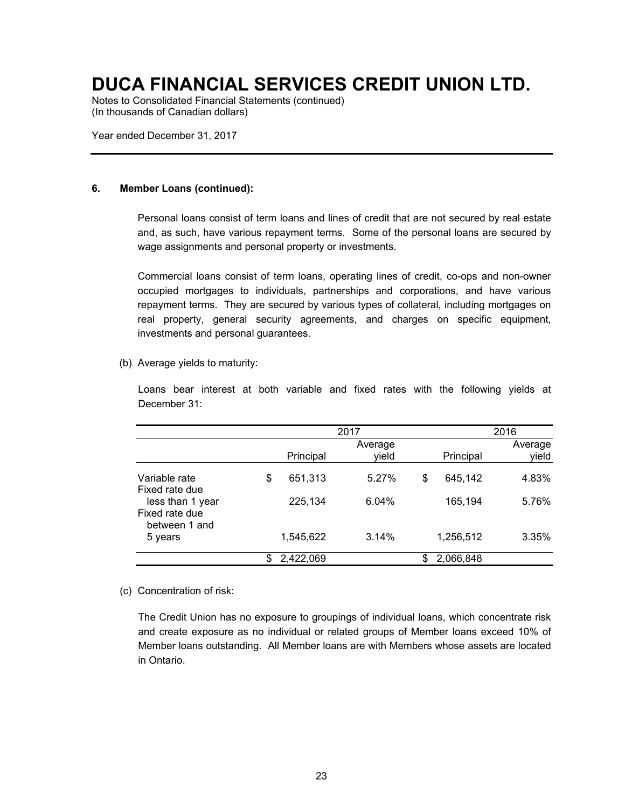Notes to Consolidated Financial Statements (continued) (In thousands of Canadian dollars)

Year ended December 31, 2017

### **6. Member Loans (continued):**

Personal loans consist of term loans and lines of credit that are not secured by real estate and, as such, have various repayment terms. Some of the personal loans are secured by wage assignments and personal property or investments.

Commercial loans consist of term loans, operating lines of credit, co-ops and non-owner occupied mortgages to individuals, partnerships and corporations, and have various repayment terms. They are secured by various types of collateral, including mortgages on real property, general security agreements, and charges on specific equipment, investments and personal guarantees.

(b) Average yields to maturity:

Loans bear interest at both variable and fixed rates with the following yields at December 31:

|                                                     |               | 2016             |                 |                  |
|-----------------------------------------------------|---------------|------------------|-----------------|------------------|
|                                                     | Principal     | Average<br>yield | Principal       | Average<br>yield |
| Variable rate<br>Fixed rate due                     | \$<br>651,313 | 5.27%            | \$<br>645,142   | 4.83%            |
| less than 1 year<br>Fixed rate due<br>between 1 and | 225,134       | 6.04%            | 165,194         | 5.76%            |
| 5 years                                             | 1,545,622     | 3.14%            | 1,256,512       | 3.35%            |
|                                                     | 2,422,069     |                  | \$<br>2,066,848 |                  |

#### (c) Concentration of risk:

The Credit Union has no exposure to groupings of individual loans, which concentrate risk and create exposure as no individual or related groups of Member loans exceed 10% of Member loans outstanding. All Member loans are with Members whose assets are located in Ontario.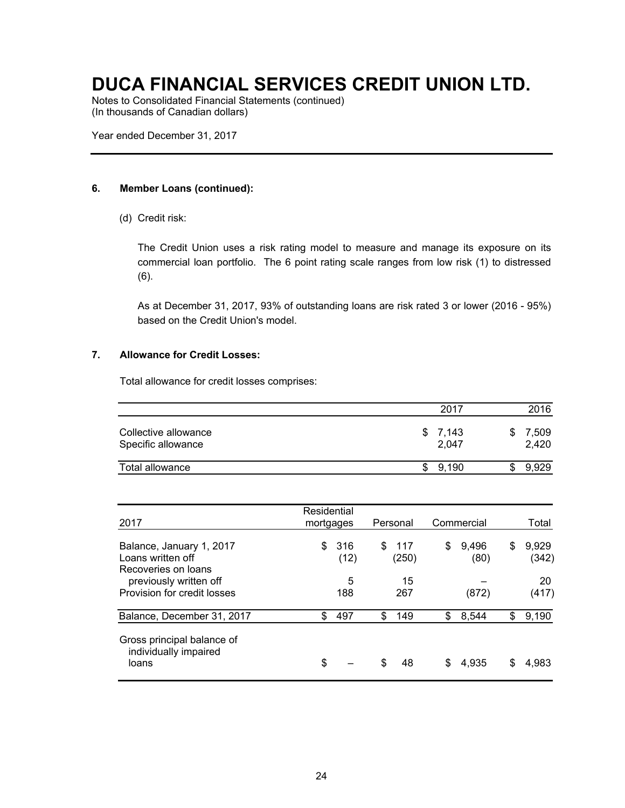Notes to Consolidated Financial Statements (continued) (In thousands of Canadian dollars)

Year ended December 31, 2017

### **6. Member Loans (continued):**

(d) Credit risk:

The Credit Union uses a risk rating model to measure and manage its exposure on its commercial loan portfolio. The 6 point rating scale ranges from low risk (1) to distressed (6).

As at December 31, 2017, 93% of outstanding loans are risk rated 3 or lower (2016 - 95%) based on the Credit Union's model.

### **7. Allowance for Credit Losses:**

Total allowance for credit losses comprises:

|                                            | 2017             | 2016           |
|--------------------------------------------|------------------|----------------|
| Collective allowance<br>Specific allowance | \$7.143<br>2.047 | 7,509<br>2,420 |
| Total allowance                            | 9.190            | 9.929          |

| 2017                                                                 | Residential<br>mortgages |    | Personal      |    | Commercial    |    | Total          |
|----------------------------------------------------------------------|--------------------------|----|---------------|----|---------------|----|----------------|
| Balance, January 1, 2017<br>Loans written off<br>Recoveries on loans | \$<br>316<br>(12)        | S  | -117<br>(250) | \$ | 9.496<br>(80) | S  | 9,929<br>(342) |
| previously written off<br>Provision for credit losses                | 5<br>188                 |    | 15<br>267     |    | (872)         |    | 20<br>(417)    |
| Balance, December 31, 2017                                           | \$<br>497                | \$ | 149           | \$ | 8,544         | \$ | 9,190          |
| Gross principal balance of<br>individually impaired<br>loans         | \$                       |    | 48            |    | 4.935         | \$ | 4,983          |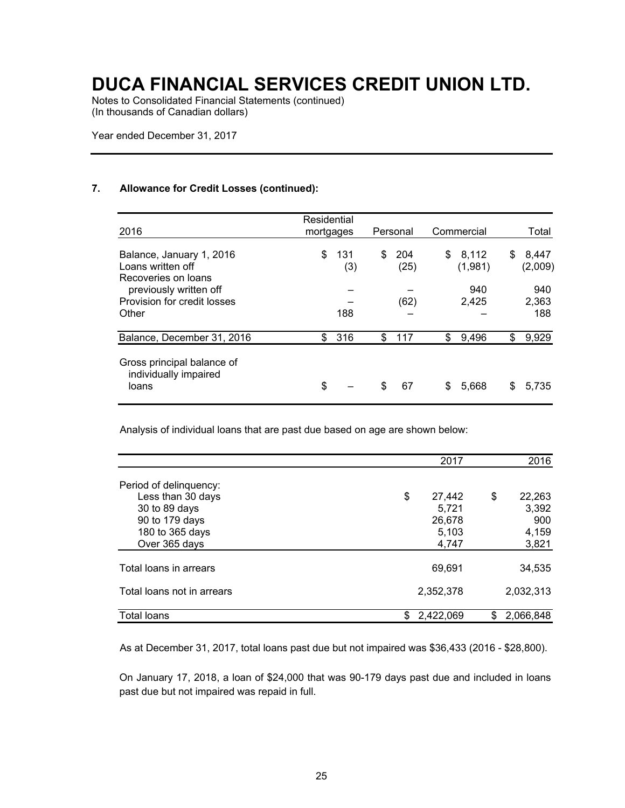Notes to Consolidated Financial Statements (continued) (In thousands of Canadian dollars)

Year ended December 31, 2017

### **7. Allowance for Credit Losses (continued):**

| 2016                                                                 | Residential<br>mortgages |            | Personal          |    | Commercial       |    | Total               |
|----------------------------------------------------------------------|--------------------------|------------|-------------------|----|------------------|----|---------------------|
| Balance, January 1, 2016<br>Loans written off<br>Recoveries on loans | \$                       | 131<br>(3) | \$<br>204<br>(25) | \$ | 8,112<br>(1,981) | S  | 8.447<br>(2,009)    |
| previously written off<br>Provision for credit losses<br>Other       |                          | 188        | (62)              |    | 940<br>2,425     |    | 940<br>2,363<br>188 |
| Balance, December 31, 2016                                           | \$.                      | 316        | \$<br>117         | \$ | 9,496            | \$ | 9,929               |
| Gross principal balance of<br>individually impaired<br>loans         | \$                       |            | \$<br>67          | S  | 5,668            | S  | 5,735               |

Analysis of individual loans that are past due based on age are shown below:

|                            | 2017         | 2016            |
|----------------------------|--------------|-----------------|
| Period of delinquency:     |              |                 |
| Less than 30 days          | \$<br>27,442 | \$<br>22,263    |
| 30 to 89 days              | 5.721        | 3,392           |
| 90 to 179 days             | 26,678       | 900             |
| 180 to 365 days            | 5,103        | 4,159           |
| Over 365 days              | 4,747        | 3,821           |
| Total loans in arrears     | 69,691       | 34,535          |
| Total loans not in arrears | 2,352,378    | 2,032,313       |
| Total loans                | 2,422,069    | 2,066,848<br>\$ |

As at December 31, 2017, total loans past due but not impaired was \$36,433 (2016 - \$28,800).

On January 17, 2018, a loan of \$24,000 that was 90-179 days past due and included in loans past due but not impaired was repaid in full.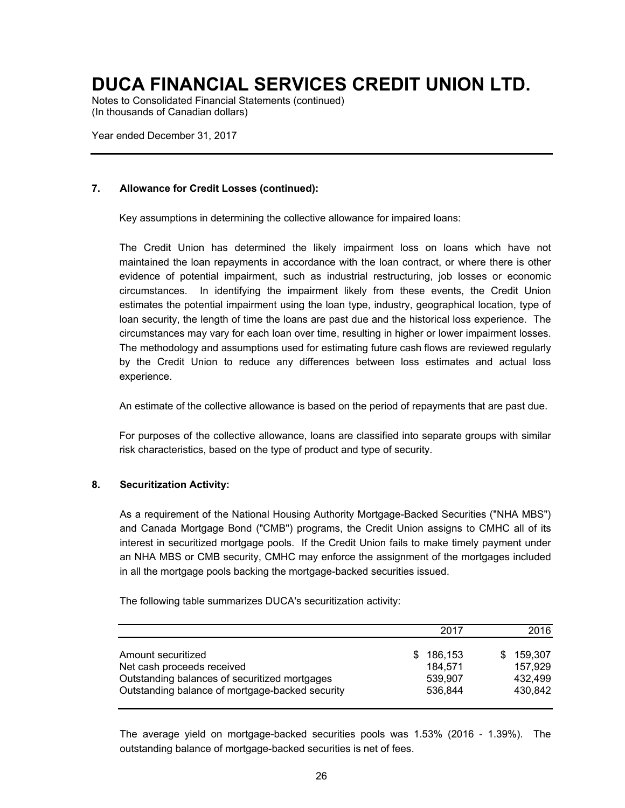Notes to Consolidated Financial Statements (continued) (In thousands of Canadian dollars)

Year ended December 31, 2017

### **7. Allowance for Credit Losses (continued):**

Key assumptions in determining the collective allowance for impaired loans:

The Credit Union has determined the likely impairment loss on loans which have not maintained the loan repayments in accordance with the loan contract, or where there is other evidence of potential impairment, such as industrial restructuring, job losses or economic circumstances. In identifying the impairment likely from these events, the Credit Union estimates the potential impairment using the loan type, industry, geographical location, type of loan security, the length of time the loans are past due and the historical loss experience. The circumstances may vary for each loan over time, resulting in higher or lower impairment losses. The methodology and assumptions used for estimating future cash flows are reviewed regularly by the Credit Union to reduce any differences between loss estimates and actual loss experience.

An estimate of the collective allowance is based on the period of repayments that are past due.

For purposes of the collective allowance, loans are classified into separate groups with similar risk characteristics, based on the type of product and type of security.

### **8. Securitization Activity:**

As a requirement of the National Housing Authority Mortgage-Backed Securities ("NHA MBS") and Canada Mortgage Bond ("CMB") programs, the Credit Union assigns to CMHC all of its interest in securitized mortgage pools. If the Credit Union fails to make timely payment under an NHA MBS or CMB security, CMHC may enforce the assignment of the mortgages included in all the mortgage pools backing the mortgage-backed securities issued.

The following table summarizes DUCA's securitization activity:

|                                                                                                                                                      | 2017                                            | 2016                                            |
|------------------------------------------------------------------------------------------------------------------------------------------------------|-------------------------------------------------|-------------------------------------------------|
| Amount securitized<br>Net cash proceeds received<br>Outstanding balances of securitized mortgages<br>Outstanding balance of mortgage-backed security | 186.153<br>SS.<br>184,571<br>539.907<br>536,844 | 159.307<br>SS.<br>157,929<br>432,499<br>430,842 |

The average yield on mortgage-backed securities pools was 1.53% (2016 - 1.39%). The outstanding balance of mortgage-backed securities is net of fees.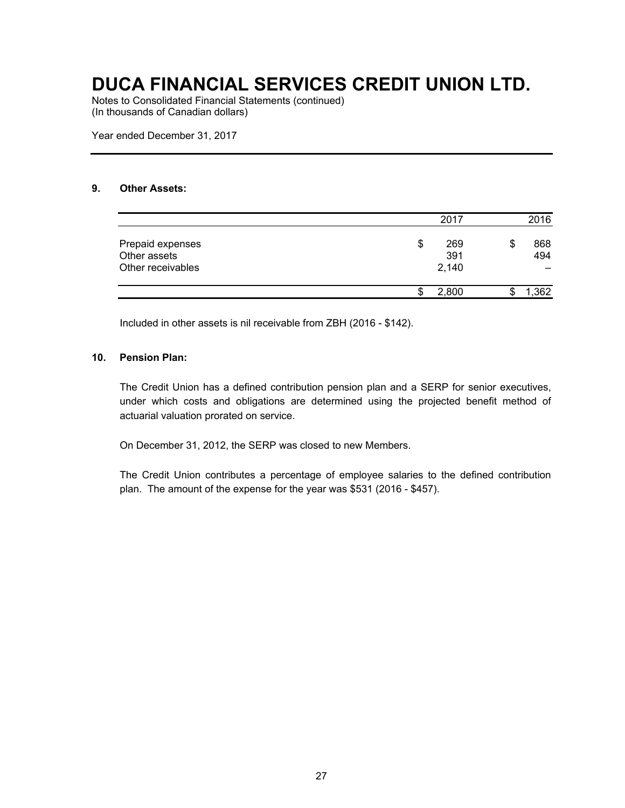Notes to Consolidated Financial Statements (continued) (In thousands of Canadian dollars)

Year ended December 31, 2017

### **9. Other Assets:**

|                                                       |    | 2017                | 2016             |
|-------------------------------------------------------|----|---------------------|------------------|
| Prepaid expenses<br>Other assets<br>Other receivables | \$ | 269<br>391<br>2,140 | \$<br>868<br>494 |
|                                                       | S  | 2.800               | ,362             |

Included in other assets is nil receivable from ZBH (2016 - \$142).

### **10. Pension Plan:**

The Credit Union has a defined contribution pension plan and a SERP for senior executives, under which costs and obligations are determined using the projected benefit method of actuarial valuation prorated on service.

On December 31, 2012, the SERP was closed to new Members.

The Credit Union contributes a percentage of employee salaries to the defined contribution plan. The amount of the expense for the year was \$531 (2016 - \$457).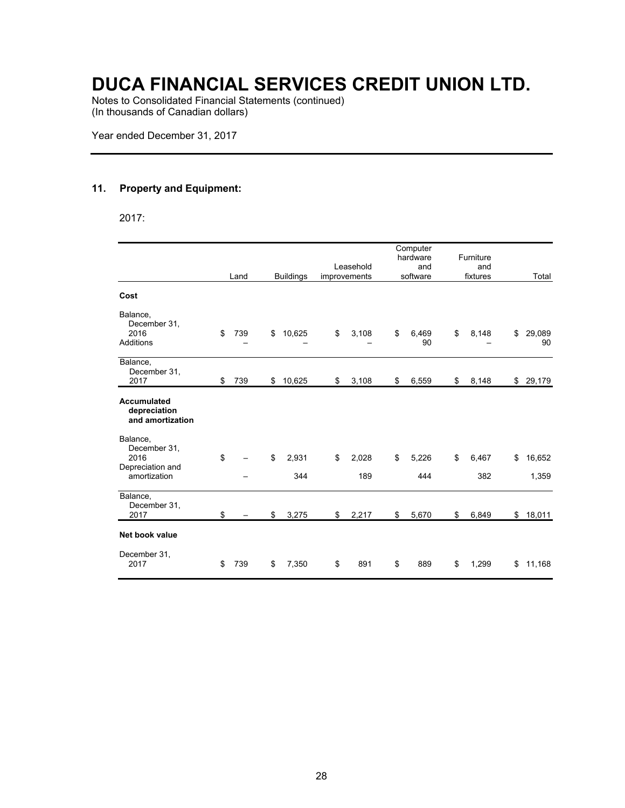Notes to Consolidated Financial Statements (continued) (In thousands of Canadian dollars)

Year ended December 31, 2017

### **11. Property and Equipment:**

2017:

|                                                                      | Land      | <b>Buildings</b>   | Leasehold<br>improvements | Computer<br>hardware<br>and<br>software | Furniture<br>and<br>fixtures | Total                 |
|----------------------------------------------------------------------|-----------|--------------------|---------------------------|-----------------------------------------|------------------------------|-----------------------|
| Cost                                                                 |           |                    |                           |                                         |                              |                       |
| Balance,<br>December 31,<br>2016<br>Additions                        | \$<br>739 | \$<br>10,625       | \$<br>3,108               | \$<br>6,469<br>90                       | \$<br>8,148                  | \$<br>29,089<br>90    |
| Balance,<br>December 31,<br>2017                                     | \$<br>739 | \$<br>10,625       | \$<br>3,108               | \$<br>6,559                             | \$<br>8,148                  | \$29,179              |
| <b>Accumulated</b><br>depreciation<br>and amortization               |           |                    |                           |                                         |                              |                       |
| Balance,<br>December 31,<br>2016<br>Depreciation and<br>amortization | \$        | \$<br>2,931<br>344 | \$<br>2,028<br>189        | \$<br>5,226<br>444                      | \$<br>6,467<br>382           | \$<br>16,652<br>1,359 |
| Balance,<br>December 31,<br>2017                                     | \$        | \$<br>3,275        | \$<br>2,217               | \$<br>5,670                             | \$<br>6,849                  | \$<br>18,011          |
| Net book value                                                       |           |                    |                           |                                         |                              |                       |
| December 31,<br>2017                                                 | \$<br>739 | \$<br>7,350        | \$<br>891                 | \$<br>889                               | \$<br>1,299                  | \$<br>11,168          |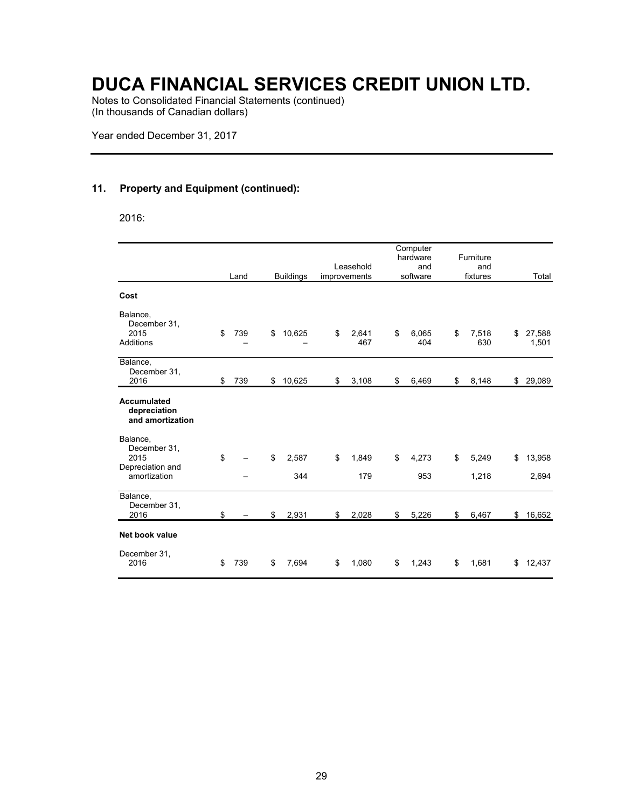Notes to Consolidated Financial Statements (continued) (In thousands of Canadian dollars)

Year ended December 31, 2017

### **11. Property and Equipment (continued):**

2016:

|                                                                      | Land      | <b>Buildings</b>   | Leasehold<br>improvements | Computer<br>hardware<br>and<br>software | Furniture<br>and<br>fixtures | Total                 |
|----------------------------------------------------------------------|-----------|--------------------|---------------------------|-----------------------------------------|------------------------------|-----------------------|
| Cost                                                                 |           |                    |                           |                                         |                              |                       |
| Balance,<br>December 31,<br>2015<br>Additions                        | \$<br>739 | \$<br>10,625       | \$<br>2,641<br>467        | \$<br>6,065<br>404                      | \$<br>7,518<br>630           | \$<br>27,588<br>1,501 |
| Balance,<br>December 31,<br>2016                                     | \$<br>739 | \$<br>10,625       | \$<br>3,108               | \$<br>6,469                             | \$<br>8,148                  | \$29,089              |
| <b>Accumulated</b><br>depreciation<br>and amortization               |           |                    |                           |                                         |                              |                       |
| Balance,<br>December 31,<br>2015<br>Depreciation and<br>amortization | \$        | \$<br>2,587<br>344 | \$<br>1,849<br>179        | \$<br>4,273<br>953                      | \$<br>5,249<br>1,218         | \$<br>13,958<br>2,694 |
| Balance,<br>December 31,<br>2016                                     | \$        | \$<br>2,931        | \$<br>2,028               | \$<br>5,226                             | \$<br>6,467                  | \$<br>16,652          |
| Net book value                                                       |           |                    |                           |                                         |                              |                       |
| December 31,<br>2016                                                 | \$<br>739 | \$<br>7,694        | \$<br>1,080               | \$<br>1,243                             | \$<br>1,681                  | \$<br>12,437          |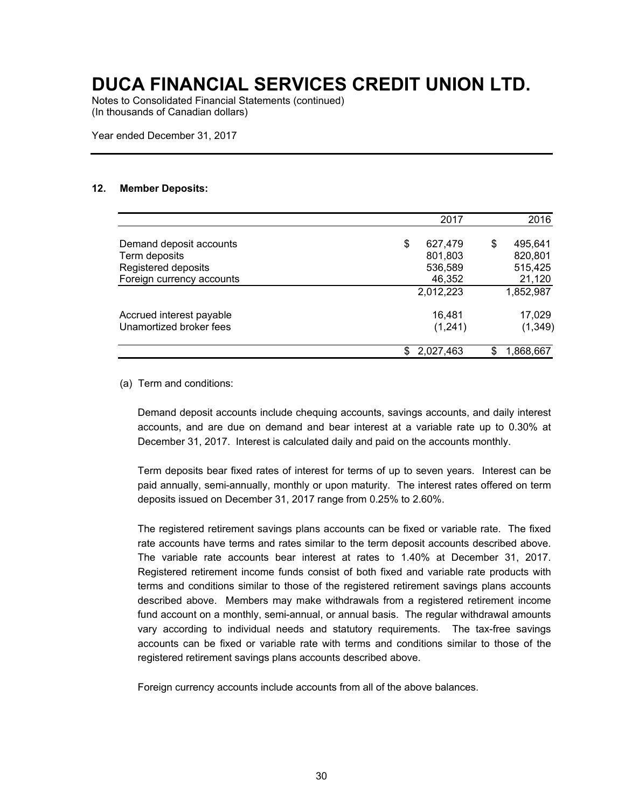Notes to Consolidated Financial Statements (continued) (In thousands of Canadian dollars)

Year ended December 31, 2017

#### **12. Member Deposits:**

|                           | 2017          | 2016            |
|---------------------------|---------------|-----------------|
| Demand deposit accounts   | \$<br>627,479 | \$<br>495,641   |
| Term deposits             | 801,803       | 820,801         |
| Registered deposits       | 536,589       | 515,425         |
| Foreign currency accounts | 46,352        | 21,120          |
|                           | 2,012,223     | 1,852,987       |
| Accrued interest payable  | 16,481        | 17,029          |
| Unamortized broker fees   | (1,241)       | (1, 349)        |
|                           | 2,027,463     | \$<br>1,868,667 |

#### (a) Term and conditions:

Demand deposit accounts include chequing accounts, savings accounts, and daily interest accounts, and are due on demand and bear interest at a variable rate up to 0.30% at December 31, 2017. Interest is calculated daily and paid on the accounts monthly.

Term deposits bear fixed rates of interest for terms of up to seven years. Interest can be paid annually, semi-annually, monthly or upon maturity. The interest rates offered on term deposits issued on December 31, 2017 range from 0.25% to 2.60%.

The registered retirement savings plans accounts can be fixed or variable rate. The fixed rate accounts have terms and rates similar to the term deposit accounts described above. The variable rate accounts bear interest at rates to 1.40% at December 31, 2017. Registered retirement income funds consist of both fixed and variable rate products with terms and conditions similar to those of the registered retirement savings plans accounts described above. Members may make withdrawals from a registered retirement income fund account on a monthly, semi-annual, or annual basis. The regular withdrawal amounts vary according to individual needs and statutory requirements. The tax-free savings accounts can be fixed or variable rate with terms and conditions similar to those of the registered retirement savings plans accounts described above.

Foreign currency accounts include accounts from all of the above balances.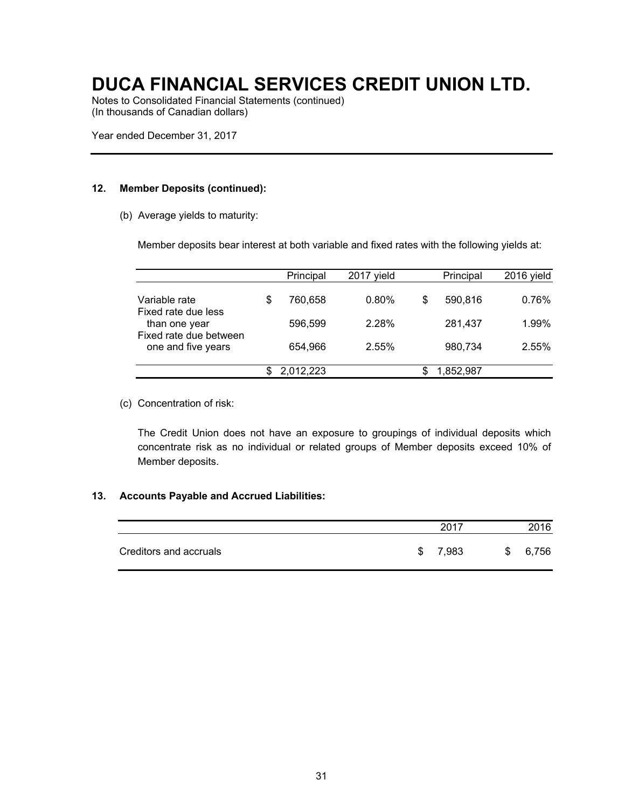Notes to Consolidated Financial Statements (continued) (In thousands of Canadian dollars)

Year ended December 31, 2017

#### **12. Member Deposits (continued):**

(b) Average yields to maturity:

Member deposits bear interest at both variable and fixed rates with the following yields at:

|                                              |   | Principal | 2017 vield |   | Principal | 2016 yield |
|----------------------------------------------|---|-----------|------------|---|-----------|------------|
| Variable rate<br>Fixed rate due less         | S | 760,658   | 0.80%      | S | 590,816   | 0.76%      |
| than one year                                |   | 596.599   | 2.28%      |   | 281.437   | 1.99%      |
| Fixed rate due between<br>one and five years |   | 654.966   | 2.55%      |   | 980,734   | 2.55%      |
|                                              |   | 2,012,223 |            |   | 1,852,987 |            |
|                                              |   |           |            |   |           |            |

(c) Concentration of risk:

The Credit Union does not have an exposure to groupings of individual deposits which concentrate risk as no individual or related groups of Member deposits exceed 10% of Member deposits.

#### **13. Accounts Payable and Accrued Liabilities:**

|                        |    | 2017  |    | 2016  |
|------------------------|----|-------|----|-------|
| Creditors and accruals | £. | 7,983 | -S | 6,756 |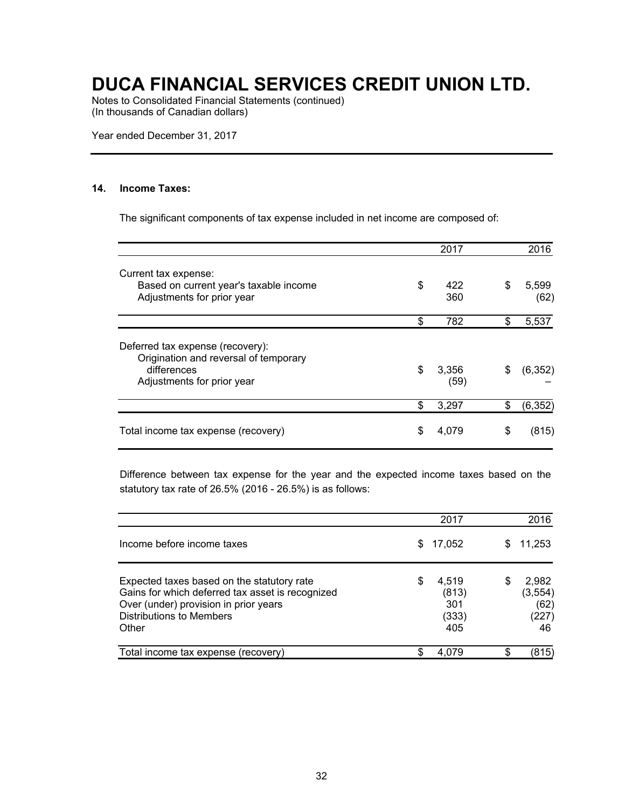Notes to Consolidated Financial Statements (continued) (In thousands of Canadian dollars)

Year ended December 31, 2017

### **14. Income Taxes:**

The significant components of tax expense included in net income are composed of:

|                                                                                                                        | 2017                | 2016                |
|------------------------------------------------------------------------------------------------------------------------|---------------------|---------------------|
| Current tax expense:<br>Based on current year's taxable income<br>Adjustments for prior year                           | \$<br>422<br>360    | \$<br>5,599<br>(62) |
|                                                                                                                        | \$<br>782           | \$<br>5,537         |
| Deferred tax expense (recovery):<br>Origination and reversal of temporary<br>differences<br>Adjustments for prior year | \$<br>3,356<br>(59) | \$<br>(6, 352)      |
|                                                                                                                        | 3,297               | \$<br>(6, 352)      |
| Total income tax expense (recovery)                                                                                    | \$<br>4,079         | \$<br>(815)         |

Difference between tax expense for the year and the expected income taxes based on the statutory tax rate of 26.5% (2016 - 26.5%) is as follows:

|                                                                                                                                                                                     |    | 2017                                  |    | 2016                                     |
|-------------------------------------------------------------------------------------------------------------------------------------------------------------------------------------|----|---------------------------------------|----|------------------------------------------|
| Income before income taxes                                                                                                                                                          | \$ | 17,052                                | \$ | 11,253                                   |
| Expected taxes based on the statutory rate<br>Gains for which deferred tax asset is recognized<br>Over (under) provision in prior years<br><b>Distributions to Members</b><br>Other | S  | 4,519<br>(813)<br>301<br>(333)<br>405 | S  | 2,982<br>(3, 554)<br>(62)<br>(227)<br>46 |
| Total income tax expense (recovery)                                                                                                                                                 |    | 4.079                                 | \$ | (815)                                    |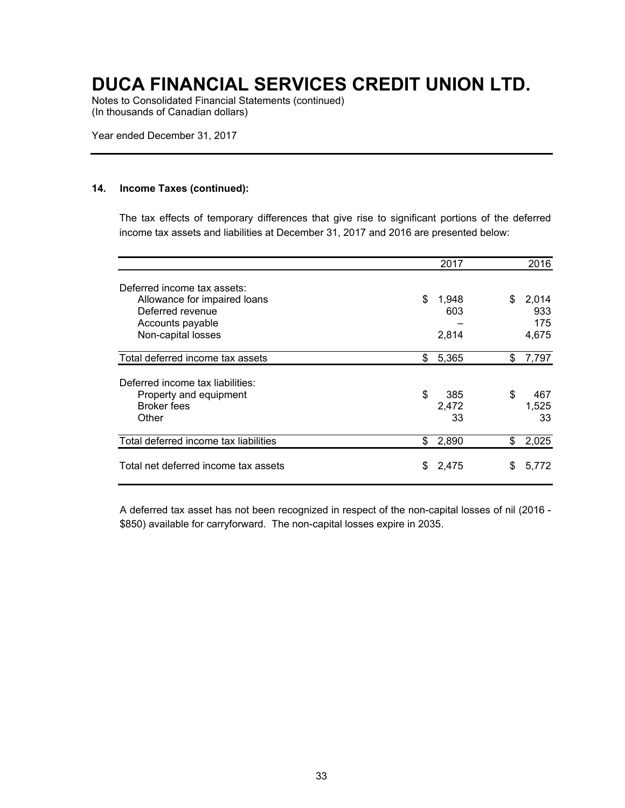Notes to Consolidated Financial Statements (continued) (In thousands of Canadian dollars)

Year ended December 31, 2017

#### **14. Income Taxes (continued):**

The tax effects of temporary differences that give rise to significant portions of the deferred income tax assets and liabilities at December 31, 2017 and 2016 are presented below:

|                                       |    | 2017  |     | 2016  |
|---------------------------------------|----|-------|-----|-------|
| Deferred income tax assets:           |    |       |     |       |
| Allowance for impaired loans          | \$ | 1,948 | \$. | 2,014 |
| Deferred revenue                      |    | 603   |     | 933   |
| Accounts payable                      |    |       |     | 175   |
| Non-capital losses                    |    | 2,814 |     | 4,675 |
| Total deferred income tax assets      | \$ | 5,365 | \$  | 7,797 |
| Deferred income tax liabilities:      |    |       |     |       |
| Property and equipment                | \$ | 385   | \$  | 467   |
| <b>Broker</b> fees                    |    | 2,472 |     | 1,525 |
| Other                                 |    | 33    |     | 33    |
| Total deferred income tax liabilities | \$ | 2,890 | \$  | 2,025 |
| Total net deferred income tax assets  | S  | 2,475 | S   | 5.772 |

A deferred tax asset has not been recognized in respect of the non-capital losses of nil (2016 - \$850) available for carryforward. The non-capital losses expire in 2035.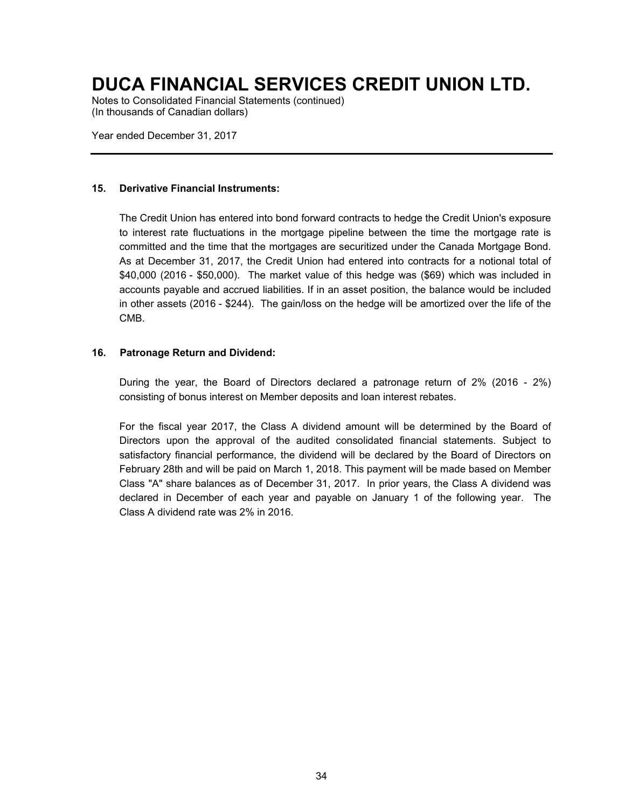Notes to Consolidated Financial Statements (continued) (In thousands of Canadian dollars)

Year ended December 31, 2017

### **15. Derivative Financial Instruments:**

The Credit Union has entered into bond forward contracts to hedge the Credit Union's exposure to interest rate fluctuations in the mortgage pipeline between the time the mortgage rate is committed and the time that the mortgages are securitized under the Canada Mortgage Bond. As at December 31, 2017, the Credit Union had entered into contracts for a notional total of \$40,000 (2016 - \$50,000). The market value of this hedge was (\$69) which was included in accounts payable and accrued liabilities. If in an asset position, the balance would be included in other assets (2016 - \$244). The gain/loss on the hedge will be amortized over the life of the CMB.

### **16. Patronage Return and Dividend:**

During the year, the Board of Directors declared a patronage return of 2% (2016 - 2%) consisting of bonus interest on Member deposits and loan interest rebates.

For the fiscal year 2017, the Class A dividend amount will be determined by the Board of Directors upon the approval of the audited consolidated financial statements. Subject to satisfactory financial performance, the dividend will be declared by the Board of Directors on February 28th and will be paid on March 1, 2018. This payment will be made based on Member Class "A" share balances as of December 31, 2017. In prior years, the Class A dividend was declared in December of each year and payable on January 1 of the following year. The Class A dividend rate was 2% in 2016.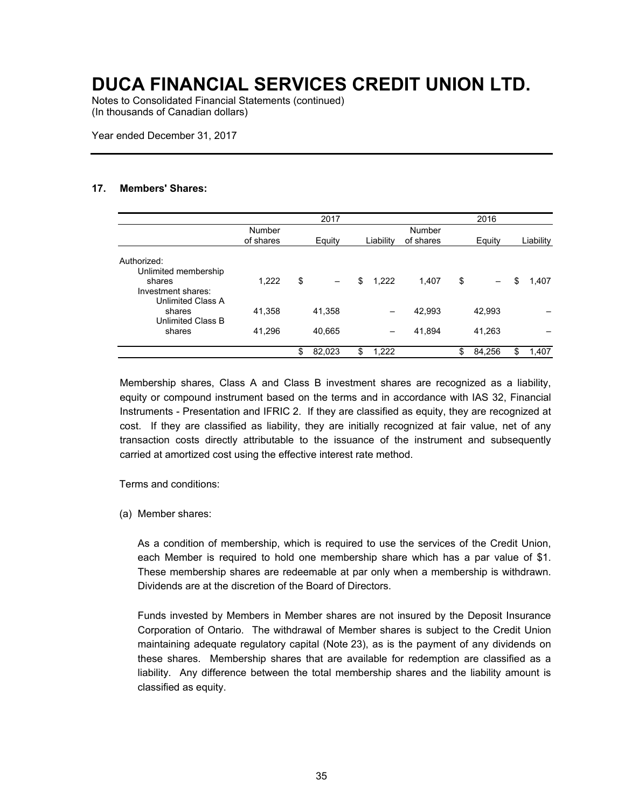Notes to Consolidated Financial Statements (continued) (In thousands of Canadian dollars)

Year ended December 31, 2017

#### **17. Members' Shares:**

|                                                |                     | 2017         |             |                     | 2016         |             |
|------------------------------------------------|---------------------|--------------|-------------|---------------------|--------------|-------------|
|                                                | Number<br>of shares | Equity       | Liability   | Number<br>of shares | Equity       | Liability   |
| Authorized:<br>Unlimited membership<br>shares  | 1,222               | \$           | \$<br>1,222 | 1,407               | \$           | \$<br>1,407 |
| Investment shares:<br><b>Unlimited Class A</b> |                     |              |             |                     |              |             |
| shares<br><b>Unlimited Class B</b>             | 41,358              | 41,358       |             | 42,993              | 42,993       |             |
| shares                                         | 41,296              | 40,665       |             | 41,894              | 41,263       |             |
|                                                |                     | \$<br>82,023 | \$<br>1,222 |                     | \$<br>84,256 | \$<br>1,407 |

Membership shares, Class A and Class B investment shares are recognized as a liability, equity or compound instrument based on the terms and in accordance with IAS 32, Financial Instruments - Presentation and IFRIC 2. If they are classified as equity, they are recognized at cost. If they are classified as liability, they are initially recognized at fair value, net of any transaction costs directly attributable to the issuance of the instrument and subsequently carried at amortized cost using the effective interest rate method.

Terms and conditions:

(a) Member shares:

As a condition of membership, which is required to use the services of the Credit Union, each Member is required to hold one membership share which has a par value of \$1. These membership shares are redeemable at par only when a membership is withdrawn. Dividends are at the discretion of the Board of Directors.

Funds invested by Members in Member shares are not insured by the Deposit Insurance Corporation of Ontario. The withdrawal of Member shares is subject to the Credit Union maintaining adequate regulatory capital (Note 23), as is the payment of any dividends on these shares. Membership shares that are available for redemption are classified as a liability. Any difference between the total membership shares and the liability amount is classified as equity.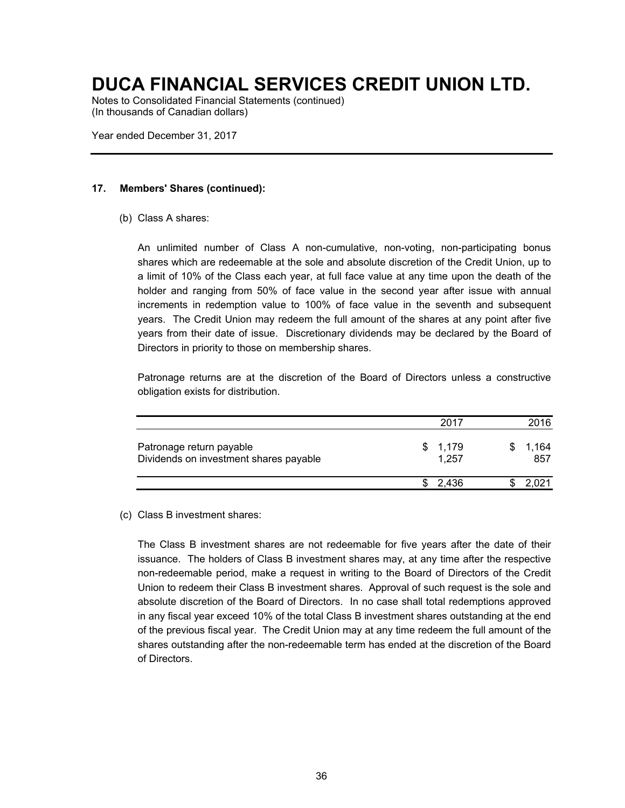Notes to Consolidated Financial Statements (continued) (In thousands of Canadian dollars)

Year ended December 31, 2017

### **17. Members' Shares (continued):**

(b) Class A shares:

An unlimited number of Class A non-cumulative, non-voting, non-participating bonus shares which are redeemable at the sole and absolute discretion of the Credit Union, up to a limit of 10% of the Class each year, at full face value at any time upon the death of the holder and ranging from 50% of face value in the second year after issue with annual increments in redemption value to 100% of face value in the seventh and subsequent years. The Credit Union may redeem the full amount of the shares at any point after five years from their date of issue. Discretionary dividends may be declared by the Board of Directors in priority to those on membership shares.

Patronage returns are at the discretion of the Board of Directors unless a constructive obligation exists for distribution.

|                                                                    | 2017             | 2016         |
|--------------------------------------------------------------------|------------------|--------------|
| Patronage return payable<br>Dividends on investment shares payable | \$1,179<br>1,257 | 1,164<br>857 |
|                                                                    | 2.436            | 2.021        |

(c) Class B investment shares:

The Class B investment shares are not redeemable for five years after the date of their issuance. The holders of Class B investment shares may, at any time after the respective non-redeemable period, make a request in writing to the Board of Directors of the Credit Union to redeem their Class B investment shares. Approval of such request is the sole and absolute discretion of the Board of Directors. In no case shall total redemptions approved in any fiscal year exceed 10% of the total Class B investment shares outstanding at the end of the previous fiscal year. The Credit Union may at any time redeem the full amount of the shares outstanding after the non-redeemable term has ended at the discretion of the Board of Directors.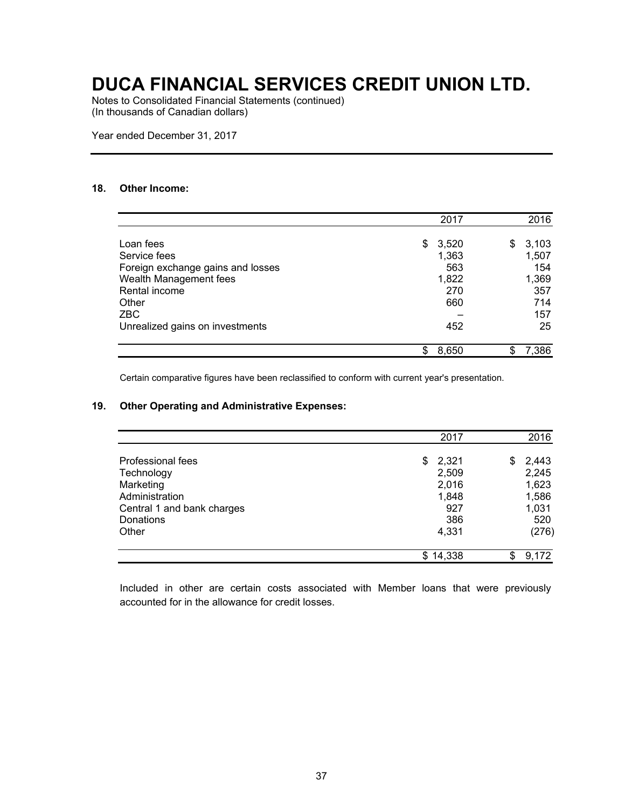Notes to Consolidated Financial Statements (continued) (In thousands of Canadian dollars)

Year ended December 31, 2017

### **18. Other Income:**

|                                                   | 2017         |    | 2016         |
|---------------------------------------------------|--------------|----|--------------|
| Loan fees                                         | \$<br>3,520  | S  | 3,103        |
| Service fees<br>Foreign exchange gains and losses | 1,363<br>563 |    | 1,507<br>154 |
| Wealth Management fees<br>Rental income           | 1,822<br>270 |    | 1,369        |
| Other                                             | 660          |    | 357<br>714   |
| <b>ZBC</b>                                        |              |    | 157          |
| Unrealized gains on investments                   | 452          |    | 25           |
|                                                   | \$<br>8,650  | S. | 7,386        |

Certain comparative figures have been reclassified to conform with current year's presentation.

#### **19. Other Operating and Administrative Expenses:**

|                            | 2017         | 2016        |
|----------------------------|--------------|-------------|
| Professional fees          | 2,321<br>\$  | 2,443<br>\$ |
| Technology                 | 2,509        | 2,245       |
| Marketing                  | 2,016        | 1,623       |
| Administration             | 1,848        | 1,586       |
| Central 1 and bank charges | 927          | 1,031       |
| Donations                  | 386          | 520         |
| Other                      | 4,331        | (276)       |
|                            | 14,338<br>\$ | 9,172       |

Included in other are certain costs associated with Member loans that were previously accounted for in the allowance for credit losses.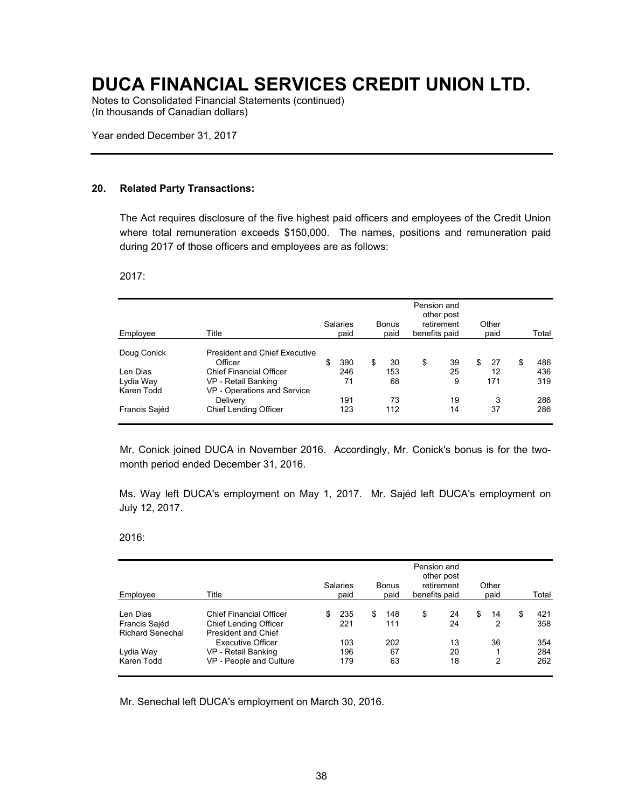Notes to Consolidated Financial Statements (continued) (In thousands of Canadian dollars)

Year ended December 31, 2017

#### **20. Related Party Transactions:**

The Act requires disclosure of the five highest paid officers and employees of the Credit Union where total remuneration exceeds \$150,000. The names, positions and remuneration paid during 2017 of those officers and employees are as follows:

2017:

| Employee      | Title                                | <b>Salaries</b><br>paid | <b>Bonus</b><br>paid | Pension and<br>benefits paid | other post<br>retirement | Other<br>paid |   | Total |
|---------------|--------------------------------------|-------------------------|----------------------|------------------------------|--------------------------|---------------|---|-------|
| Doug Conick   | <b>President and Chief Executive</b> |                         |                      |                              |                          |               |   |       |
|               | Officer                              | \$<br>390               | \$<br>30             | \$                           | 39                       | \$<br>27      | S | 486   |
| Len Dias      | <b>Chief Financial Officer</b>       | 246                     | 153                  |                              | 25                       | 12            |   | 436   |
| Lydia Way     | VP - Retail Banking                  | 71                      | 68                   |                              | 9                        | 171           |   | 319   |
| Karen Todd    | VP - Operations and Service          |                         |                      |                              |                          |               |   |       |
|               | Delivery                             | 191                     | 73                   |                              | 19                       | 3             |   | 286   |
| Francis Sajéd | <b>Chief Lending Officer</b>         | 123                     | 112                  |                              | 14                       | 37            |   | 286   |

Mr. Conick joined DUCA in November 2016. Accordingly, Mr. Conick's bonus is for the twomonth period ended December 31, 2016.

Ms. Way left DUCA's employment on May 1, 2017. Mr. Sajéd left DUCA's employment on July 12, 2017.

2016:

| Employee                  | Title                                                          | <b>Salaries</b><br>paid | <b>Bonus</b><br>paid | benefits paid | Pension and<br>other post<br>retirement | Other<br>paid | Total      |
|---------------------------|----------------------------------------------------------------|-------------------------|----------------------|---------------|-----------------------------------------|---------------|------------|
| Len Dias<br>Francis Sajéd | <b>Chief Financial Officer</b><br><b>Chief Lending Officer</b> | 235<br>221              | \$<br>148<br>111     | \$            | 24<br>24                                | \$<br>14<br>2 | 421<br>358 |
| <b>Richard Senechal</b>   | <b>President and Chief</b><br><b>Executive Officer</b>         | 103                     | 202                  |               | 13                                      | 36            | 354        |
| Lydia Way                 | VP - Retail Banking                                            | 196                     | 67                   |               | 20                                      |               | 284        |
| Karen Todd                | VP - People and Culture                                        | 179                     | 63                   |               | 18                                      | 2             | 262        |

Mr. Senechal left DUCA's employment on March 30, 2016.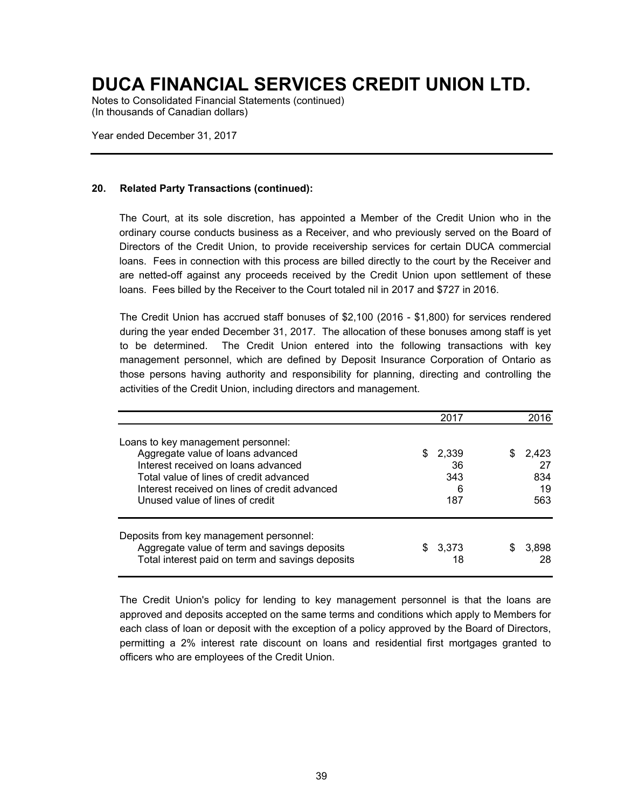Notes to Consolidated Financial Statements (continued) (In thousands of Canadian dollars)

Year ended December 31, 2017

### **20. Related Party Transactions (continued):**

The Court, at its sole discretion, has appointed a Member of the Credit Union who in the ordinary course conducts business as a Receiver, and who previously served on the Board of Directors of the Credit Union, to provide receivership services for certain DUCA commercial loans. Fees in connection with this process are billed directly to the court by the Receiver and are netted-off against any proceeds received by the Credit Union upon settlement of these loans. Fees billed by the Receiver to the Court totaled nil in 2017 and \$727 in 2016.

The Credit Union has accrued staff bonuses of \$2,100 (2016 - \$1,800) for services rendered during the year ended December 31, 2017. The allocation of these bonuses among staff is yet to be determined. The Credit Union entered into the following transactions with key management personnel, which are defined by Deposit Insurance Corporation of Ontario as those persons having authority and responsibility for planning, directing and controlling the activities of the Credit Union, including directors and management.

|                                                                                                                                                                                                                                               | 2017                             | 2016                                 |
|-----------------------------------------------------------------------------------------------------------------------------------------------------------------------------------------------------------------------------------------------|----------------------------------|--------------------------------------|
| Loans to key management personnel:<br>Aggregate value of loans advanced<br>Interest received on loans advanced<br>Total value of lines of credit advanced<br>Interest received on lines of credit advanced<br>Unused value of lines of credit | \$2,339<br>36<br>343<br>6<br>187 | 2.423<br>S<br>27<br>834<br>19<br>563 |
| Deposits from key management personnel:<br>Aggregate value of term and savings deposits<br>Total interest paid on term and savings deposits                                                                                                   | \$3.373<br>18                    | 3.898<br>\$<br>28                    |

The Credit Union's policy for lending to key management personnel is that the loans are approved and deposits accepted on the same terms and conditions which apply to Members for each class of loan or deposit with the exception of a policy approved by the Board of Directors, permitting a 2% interest rate discount on loans and residential first mortgages granted to officers who are employees of the Credit Union.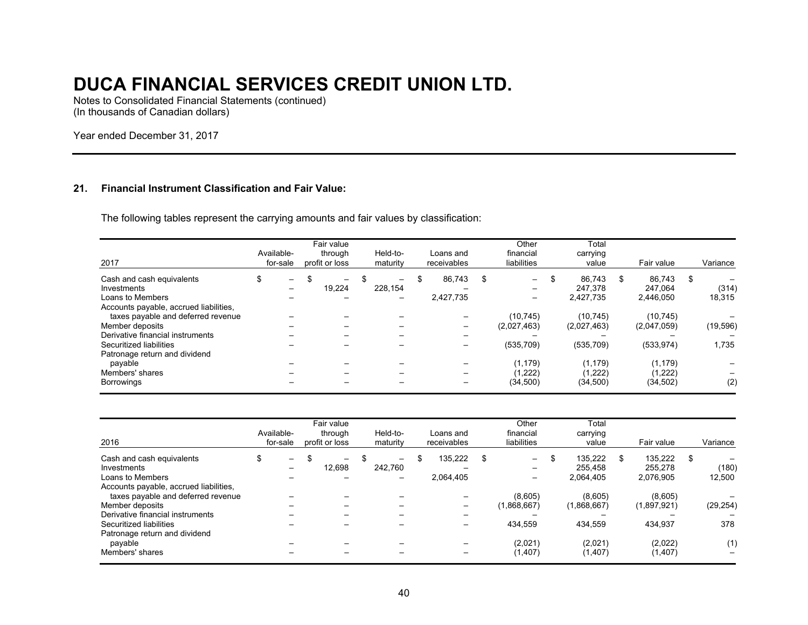Notes to Consolidated Financial Statements (continued) (In thousands of Canadian dollars)

Year ended December 31, 2017

### **21. Financial Instrument Classification and Fair Value:**

The following tables represent the carrying amounts and fair values by classification:

| 2017                                                                                                                                | Available-<br>for-sale                                     | Fair value<br>through<br>profit or loss | Held-to-<br>maturity                      |   | Loans and<br>receivables |   | Other<br>financial<br>liabilities | Total<br>carrying<br>value     |   | Fair value                     |   | Variance        |
|-------------------------------------------------------------------------------------------------------------------------------------|------------------------------------------------------------|-----------------------------------------|-------------------------------------------|---|--------------------------|---|-----------------------------------|--------------------------------|---|--------------------------------|---|-----------------|
| Cash and cash equivalents<br>Investments<br>Loans to Members                                                                        | \$<br>$\overline{\phantom{a}}$<br>$\overline{\phantom{0}}$ | \$<br>—<br>19.224                       | \$<br>$\overline{\phantom{0}}$<br>228.154 | S | 86.743<br>2,427,735      | S | $-$<br>$\overline{\phantom{0}}$   | 86.743<br>247.378<br>2,427,735 | S | 86,743<br>247.064<br>2.446.050 | S | (314)<br>18,315 |
| Accounts payable, accrued liabilities,<br>taxes payable and deferred revenue<br>Member deposits<br>Derivative financial instruments |                                                            |                                         |                                           |   |                          |   | (10, 745)<br>(2,027,463)          | (10.745)<br>(2,027,463)        |   | (10, 745)<br>(2,047,059)       |   | (19, 596)       |
| Securitized liabilities<br>Patronage return and dividend<br>payable                                                                 |                                                            |                                         |                                           |   |                          |   | (535, 709)<br>(1, 179)            | (535, 709)<br>(1, 179)         |   | (533, 974)<br>(1, 179)         |   | 1,735           |
| Members' shares<br>Borrowings                                                                                                       |                                                            |                                         |                                           |   |                          |   | (1,222)<br>(34, 500)              | (1,222)<br>(34,500)            |   | (1,222)<br>(34, 502)           |   | (2)             |

| 2016                                                                                                   | Available-<br>for-sale                                     | Fair value<br>through<br>profit or loss | Held-to-<br>maturity | Loans and<br>receivables   |   | Other<br>financial<br>liabilities | Total<br>carrying<br>value            |   | Fair value                      |   | Variance        |
|--------------------------------------------------------------------------------------------------------|------------------------------------------------------------|-----------------------------------------|----------------------|----------------------------|---|-----------------------------------|---------------------------------------|---|---------------------------------|---|-----------------|
| Cash and cash equivalents<br>Investments<br>Loans to Members<br>Accounts payable, accrued liabilities, | \$<br>$\overline{\phantom{a}}$<br>$\overline{\phantom{m}}$ | \$<br>12.698                            | \$<br>242.760        | \$<br>135.222<br>2,064,405 | S | $-$                               | \$<br>135.222<br>255.458<br>2.064.405 | S | 135.222<br>255.278<br>2.076.905 | S | (180)<br>12,500 |
| taxes payable and deferred revenue<br>Member deposits<br>Derivative financial instruments              |                                                            |                                         |                      | —                          |   | (8,605)<br>(1,868,667)            | (8,605)<br>(1,868,667)                |   | (8,605)<br>(1,897,921)          |   | (29, 254)       |
| Securitized liabilities<br>Patronage return and dividend                                               |                                                            |                                         |                      |                            |   | 434,559                           | 434.559                               |   | 434.937                         |   | 378             |
| payable<br>Members' shares                                                                             |                                                            |                                         |                      |                            |   | (2,021)<br>(1,407)                | (2,021)<br>(1,407)                    |   | (2,022)<br>(1, 407)             |   | (1)             |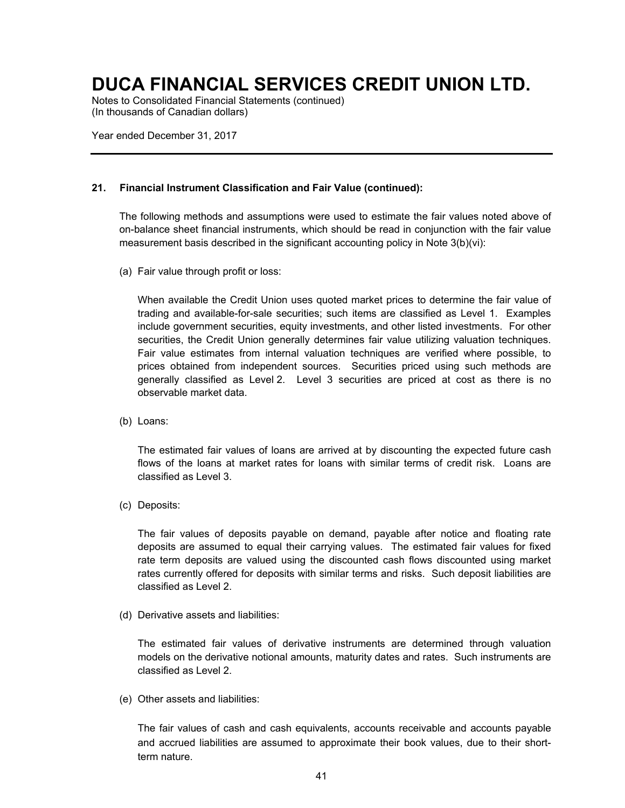Notes to Consolidated Financial Statements (continued) (In thousands of Canadian dollars)

Year ended December 31, 2017

### **21. Financial Instrument Classification and Fair Value (continued):**

The following methods and assumptions were used to estimate the fair values noted above of on-balance sheet financial instruments, which should be read in conjunction with the fair value measurement basis described in the significant accounting policy in Note 3(b)(vi):

(a) Fair value through profit or loss:

When available the Credit Union uses quoted market prices to determine the fair value of trading and available-for-sale securities; such items are classified as Level 1. Examples include government securities, equity investments, and other listed investments. For other securities, the Credit Union generally determines fair value utilizing valuation techniques. Fair value estimates from internal valuation techniques are verified where possible, to prices obtained from independent sources. Securities priced using such methods are generally classified as Level 2. Level 3 securities are priced at cost as there is no observable market data.

(b) Loans:

The estimated fair values of loans are arrived at by discounting the expected future cash flows of the loans at market rates for loans with similar terms of credit risk. Loans are classified as Level 3.

(c) Deposits:

The fair values of deposits payable on demand, payable after notice and floating rate deposits are assumed to equal their carrying values. The estimated fair values for fixed rate term deposits are valued using the discounted cash flows discounted using market rates currently offered for deposits with similar terms and risks. Such deposit liabilities are classified as Level 2.

(d) Derivative assets and liabilities:

The estimated fair values of derivative instruments are determined through valuation models on the derivative notional amounts, maturity dates and rates. Such instruments are classified as Level 2.

(e) Other assets and liabilities:

The fair values of cash and cash equivalents, accounts receivable and accounts payable and accrued liabilities are assumed to approximate their book values, due to their shortterm nature.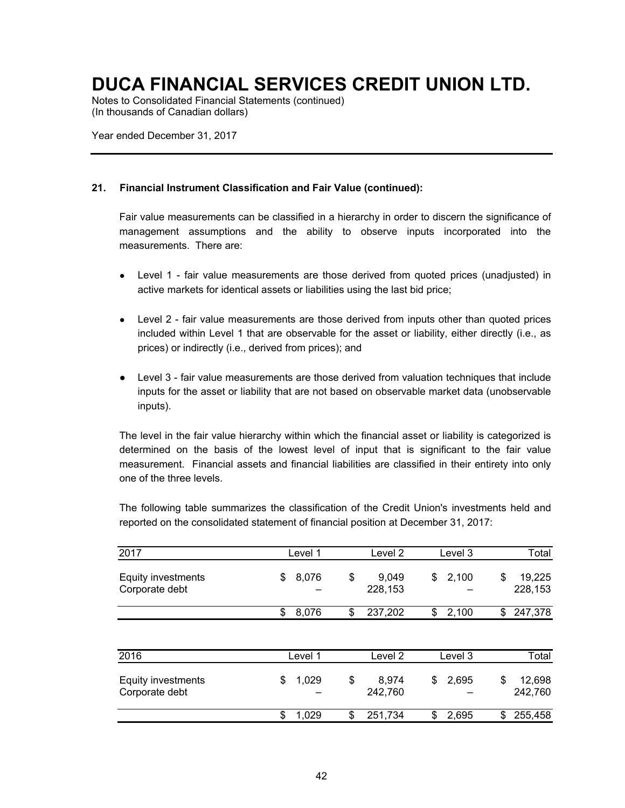Notes to Consolidated Financial Statements (continued) (In thousands of Canadian dollars)

Year ended December 31, 2017

### **21. Financial Instrument Classification and Fair Value (continued):**

Fair value measurements can be classified in a hierarchy in order to discern the significance of management assumptions and the ability to observe inputs incorporated into the measurements. There are:

- Level 1 fair value measurements are those derived from quoted prices (unadjusted) in active markets for identical assets or liabilities using the last bid price;
- Level 2 fair value measurements are those derived from inputs other than quoted prices included within Level 1 that are observable for the asset or liability, either directly (i.e., as prices) or indirectly (i.e., derived from prices); and
- Level 3 fair value measurements are those derived from valuation techniques that include inputs for the asset or liability that are not based on observable market data (unobservable inputs).

The level in the fair value hierarchy within which the financial asset or liability is categorized is determined on the basis of the lowest level of input that is significant to the fair value measurement. Financial assets and financial liabilities are classified in their entirety into only one of the three levels.

The following table summarizes the classification of the Credit Union's investments held and reported on the consolidated statement of financial position at December 31, 2017:

| 2017                                        | Level 1     | Level 2                | Level 3     | Total                   |
|---------------------------------------------|-------------|------------------------|-------------|-------------------------|
| <b>Equity investments</b><br>Corporate debt | 8,076<br>\$ | \$<br>9,049<br>228,153 | \$<br>2,100 | 19,225<br>\$<br>228,153 |
|                                             | \$<br>8,076 | \$<br>237,202          | \$<br>2,100 | 247,378<br>\$           |
|                                             |             |                        |             |                         |
| 2016                                        | Level 1     | Level 2                | Level 3     | Total                   |
| Equity investments<br>Corporate debt        | \$<br>1,029 | \$<br>8,974<br>242,760 | \$<br>2,695 | \$<br>12,698<br>242,760 |
|                                             | \$<br>1,029 | \$<br>251,734          | \$<br>2,695 | 255,458<br>\$           |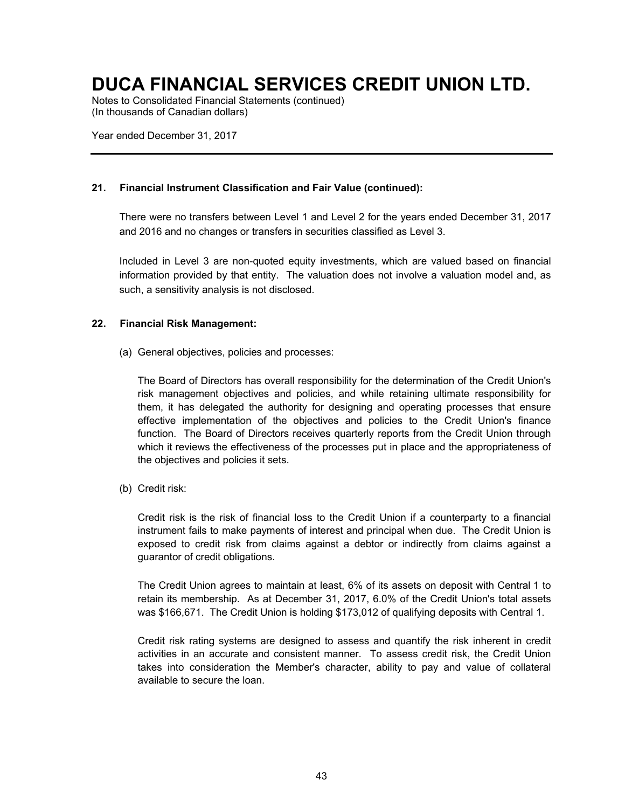Notes to Consolidated Financial Statements (continued) (In thousands of Canadian dollars)

Year ended December 31, 2017

### **21. Financial Instrument Classification and Fair Value (continued):**

There were no transfers between Level 1 and Level 2 for the years ended December 31, 2017 and 2016 and no changes or transfers in securities classified as Level 3.

Included in Level 3 are non-quoted equity investments, which are valued based on financial information provided by that entity. The valuation does not involve a valuation model and, as such, a sensitivity analysis is not disclosed.

### **22. Financial Risk Management:**

(a) General objectives, policies and processes:

The Board of Directors has overall responsibility for the determination of the Credit Union's risk management objectives and policies, and while retaining ultimate responsibility for them, it has delegated the authority for designing and operating processes that ensure effective implementation of the objectives and policies to the Credit Union's finance function. The Board of Directors receives quarterly reports from the Credit Union through which it reviews the effectiveness of the processes put in place and the appropriateness of the objectives and policies it sets.

(b) Credit risk:

Credit risk is the risk of financial loss to the Credit Union if a counterparty to a financial instrument fails to make payments of interest and principal when due. The Credit Union is exposed to credit risk from claims against a debtor or indirectly from claims against a guarantor of credit obligations.

The Credit Union agrees to maintain at least, 6% of its assets on deposit with Central 1 to retain its membership. As at December 31, 2017, 6.0% of the Credit Union's total assets was \$166,671. The Credit Union is holding \$173,012 of qualifying deposits with Central 1.

Credit risk rating systems are designed to assess and quantify the risk inherent in credit activities in an accurate and consistent manner. To assess credit risk, the Credit Union takes into consideration the Member's character, ability to pay and value of collateral available to secure the loan.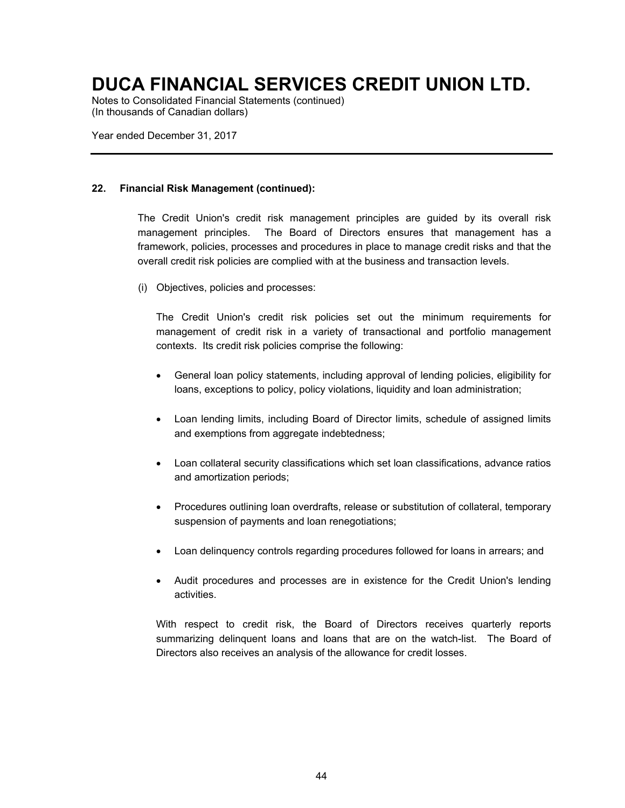Notes to Consolidated Financial Statements (continued) (In thousands of Canadian dollars)

Year ended December 31, 2017

### **22. Financial Risk Management (continued):**

The Credit Union's credit risk management principles are guided by its overall risk management principles. The Board of Directors ensures that management has a framework, policies, processes and procedures in place to manage credit risks and that the overall credit risk policies are complied with at the business and transaction levels.

(i) Objectives, policies and processes:

The Credit Union's credit risk policies set out the minimum requirements for management of credit risk in a variety of transactional and portfolio management contexts. Its credit risk policies comprise the following:

- General loan policy statements, including approval of lending policies, eligibility for loans, exceptions to policy, policy violations, liquidity and loan administration;
- Loan lending limits, including Board of Director limits, schedule of assigned limits and exemptions from aggregate indebtedness;
- Loan collateral security classifications which set loan classifications, advance ratios and amortization periods;
- Procedures outlining loan overdrafts, release or substitution of collateral, temporary suspension of payments and loan renegotiations;
- Loan delinquency controls regarding procedures followed for loans in arrears; and
- Audit procedures and processes are in existence for the Credit Union's lending activities.

With respect to credit risk, the Board of Directors receives quarterly reports summarizing delinquent loans and loans that are on the watch-list. The Board of Directors also receives an analysis of the allowance for credit losses.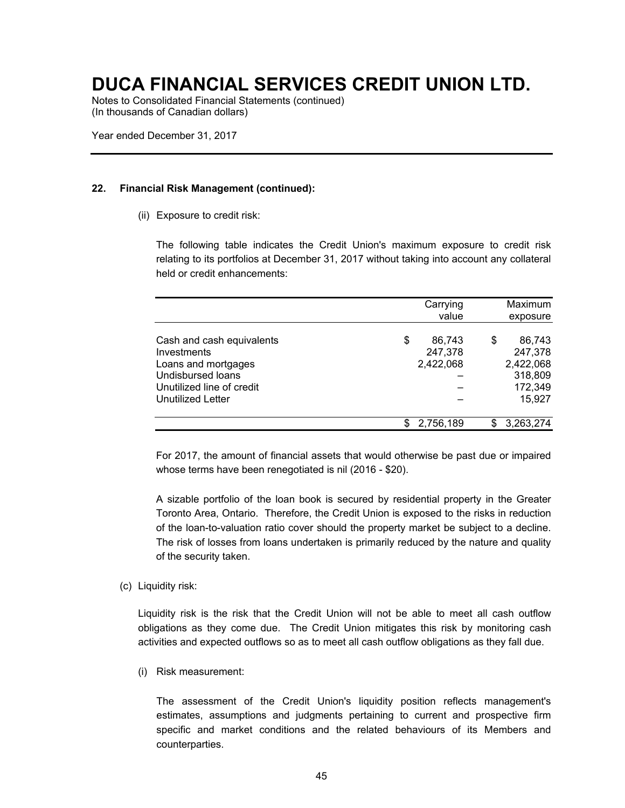Notes to Consolidated Financial Statements (continued) (In thousands of Canadian dollars)

Year ended December 31, 2017

### **22. Financial Risk Management (continued):**

(ii) Exposure to credit risk:

The following table indicates the Credit Union's maximum exposure to credit risk relating to its portfolios at December 31, 2017 without taking into account any collateral held or credit enhancements:

|                                                                                                                                               | Carrying<br>value                    |   | Maximum<br>exposure                                            |
|-----------------------------------------------------------------------------------------------------------------------------------------------|--------------------------------------|---|----------------------------------------------------------------|
| Cash and cash equivalents<br>Investments<br>Loans and mortgages<br><b>Undisbursed loans</b><br>Unutilized line of credit<br>Unutilized Letter | \$<br>86,743<br>247,378<br>2,422,068 | S | 86,743<br>247,378<br>2,422,068<br>318,809<br>172,349<br>15,927 |
|                                                                                                                                               | 2,756,189                            |   | 3,263,274                                                      |

For 2017, the amount of financial assets that would otherwise be past due or impaired whose terms have been renegotiated is nil (2016 - \$20).

A sizable portfolio of the loan book is secured by residential property in the Greater Toronto Area, Ontario. Therefore, the Credit Union is exposed to the risks in reduction of the loan-to-valuation ratio cover should the property market be subject to a decline. The risk of losses from loans undertaken is primarily reduced by the nature and quality of the security taken.

(c) Liquidity risk:

Liquidity risk is the risk that the Credit Union will not be able to meet all cash outflow obligations as they come due. The Credit Union mitigates this risk by monitoring cash activities and expected outflows so as to meet all cash outflow obligations as they fall due.

(i) Risk measurement:

The assessment of the Credit Union's liquidity position reflects management's estimates, assumptions and judgments pertaining to current and prospective firm specific and market conditions and the related behaviours of its Members and counterparties.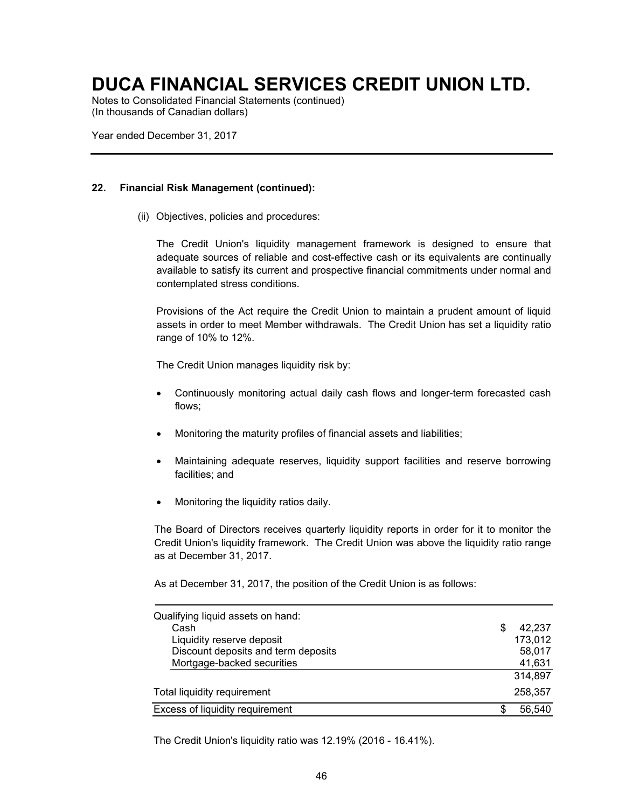Notes to Consolidated Financial Statements (continued) (In thousands of Canadian dollars)

Year ended December 31, 2017

### **22. Financial Risk Management (continued):**

(ii) Objectives, policies and procedures:

The Credit Union's liquidity management framework is designed to ensure that adequate sources of reliable and cost-effective cash or its equivalents are continually available to satisfy its current and prospective financial commitments under normal and contemplated stress conditions.

Provisions of the Act require the Credit Union to maintain a prudent amount of liquid assets in order to meet Member withdrawals. The Credit Union has set a liquidity ratio range of 10% to 12%.

The Credit Union manages liquidity risk by:

- Continuously monitoring actual daily cash flows and longer-term forecasted cash flows;
- Monitoring the maturity profiles of financial assets and liabilities;
- Maintaining adequate reserves, liquidity support facilities and reserve borrowing facilities; and
- Monitoring the liquidity ratios daily.

The Board of Directors receives quarterly liquidity reports in order for it to monitor the Credit Union's liquidity framework. The Credit Union was above the liquidity ratio range as at December 31, 2017.

As at December 31, 2017, the position of the Credit Union is as follows:

| Qualifying liquid assets on hand:<br>Cash<br>Liquidity reserve deposit | 42,237<br>173,012 |
|------------------------------------------------------------------------|-------------------|
| Discount deposits and term deposits                                    | 58,017            |
| Mortgage-backed securities                                             | 41,631            |
|                                                                        | 314,897           |
| Total liquidity requirement                                            | 258,357           |
| Excess of liquidity requirement                                        | 56,540            |

The Credit Union's liquidity ratio was 12.19% (2016 - 16.41%).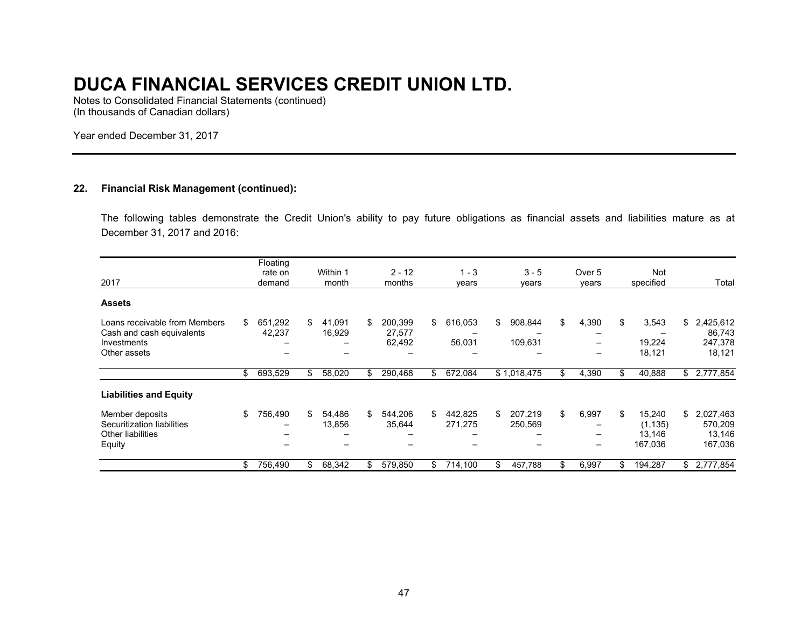Notes to Consolidated Financial Statements (continued) (In thousands of Canadian dollars)

Year ended December 31, 2017

### **22. Financial Risk Management (continued):**

The following tables demonstrate the Credit Union's ability to pay future obligations as financial assets and liabilities mature as at December 31, 2017 and 2016:

| 2017                                                                                      | Floating<br>rate on<br>demand |     | Within 1<br>month | $2 - 12$<br>months                | $1 - 3$<br>years         | $3 - 5$<br>years         | Over 5<br>vears                                                     |     | Not<br>specified                        |     | Total                                      |
|-------------------------------------------------------------------------------------------|-------------------------------|-----|-------------------|-----------------------------------|--------------------------|--------------------------|---------------------------------------------------------------------|-----|-----------------------------------------|-----|--------------------------------------------|
| <b>Assets</b>                                                                             |                               |     |                   |                                   |                          |                          |                                                                     |     |                                         |     |                                            |
| Loans receivable from Members<br>Cash and cash equivalents<br>Investments<br>Other assets | \$<br>651,292<br>42,237       | \$  | 41,091<br>16,929  | \$<br>200,399<br>27,577<br>62,492 | \$<br>616,053<br>56,031  | \$<br>908,844<br>109,631 | \$<br>4,390                                                         | \$  | 3,543<br>19,224<br>18,121               |     | \$2,425,612<br>86,743<br>247,378<br>18,121 |
|                                                                                           | \$<br>693,529                 | \$  | 58,020            | \$<br>290,468                     | \$<br>672,084            | \$1,018,475              | \$<br>4,390                                                         | \$. | 40,888                                  | \$  | 2,777,854                                  |
| <b>Liabilities and Equity</b>                                                             |                               |     |                   |                                   |                          |                          |                                                                     |     |                                         |     |                                            |
| Member deposits<br>Securitization liabilities<br><b>Other liabilities</b><br>Equity       | \$<br>756,490                 | \$  | 54,486<br>13,856  | \$<br>544,206<br>35,644           | \$<br>442,825<br>271,275 | \$<br>207,219<br>250,569 | \$<br>6,997<br>$\overline{\phantom{0}}$<br>$\overline{\phantom{0}}$ | \$  | 15,240<br>(1, 135)<br>13,146<br>167,036 | \$  | 2,027,463<br>570,209<br>13,146<br>167,036  |
|                                                                                           | \$<br>756,490                 | \$. | 68,342            | 579,850                           | \$<br>714,100            | 457,788                  | \$<br>6,997                                                         | \$. | 194,287                                 | \$. | 2,777,854                                  |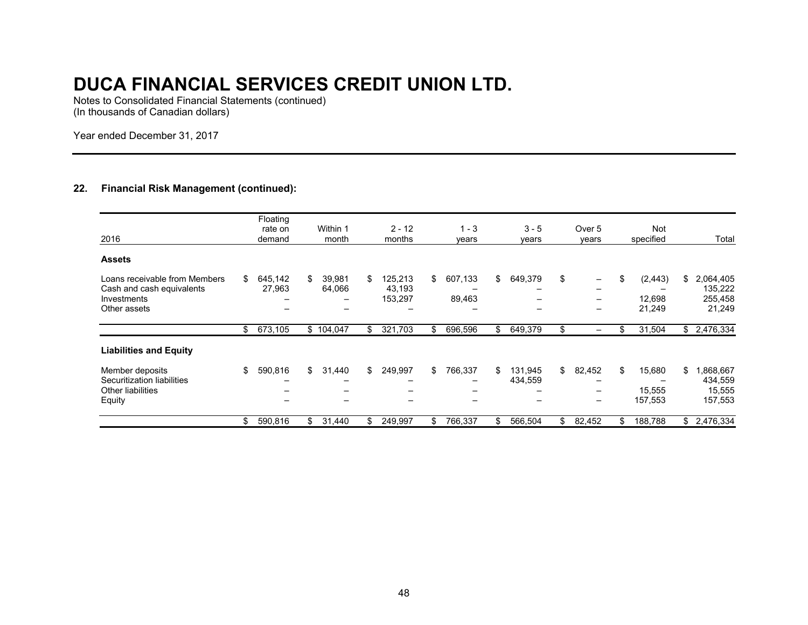Notes to Consolidated Financial Statements (continued) (In thousands of Canadian dollars)

Year ended December 31, 2017

### **22. Financial Risk Management (continued):**

| 2016                                                                                      | Floating<br>rate on<br>demand | Within 1<br>month      | $2 - 12$<br>months                 | $1 - 3$<br>years        | $3 - 5$<br>years         | Over <sub>5</sub><br>years | Not<br>specified                   | Total                                           |
|-------------------------------------------------------------------------------------------|-------------------------------|------------------------|------------------------------------|-------------------------|--------------------------|----------------------------|------------------------------------|-------------------------------------------------|
| <b>Assets</b>                                                                             |                               |                        |                                    |                         |                          |                            |                                    |                                                 |
| Loans receivable from Members<br>Cash and cash equivalents<br>Investments<br>Other assets | \$<br>645,142<br>27,963       | \$<br>39,981<br>64,066 | \$<br>125,213<br>43,193<br>153,297 | \$<br>607,133<br>89,463 | \$<br>649,379<br>-<br>-  | \$<br>-<br>-<br>-          | \$<br>(2, 443)<br>12,698<br>21,249 | \$<br>2,064,405<br>135,222<br>255,458<br>21,249 |
|                                                                                           | \$<br>673,105                 | \$104,047              | \$<br>321,703                      | \$<br>696,596           | \$<br>649,379            | \$<br>-                    | \$<br>31,504                       | $\overline{\$}$ 2,476,334                       |
| <b>Liabilities and Equity</b>                                                             |                               |                        |                                    |                         |                          |                            |                                    |                                                 |
| Member deposits<br>Securitization liabilities<br>Other liabilities<br>Equity              | \$<br>590,816                 | \$<br>31,440<br>-<br>- | \$<br>249,997<br>-                 | \$<br>766,337           | \$<br>131,945<br>434,559 | \$<br>82,452<br>-<br>-     | \$<br>15,680<br>15,555<br>157,553  | \$<br>,868,667<br>434,559<br>15,555<br>157,553  |
|                                                                                           | \$<br>590,816                 | \$<br>31,440           | \$<br>249,997                      | \$<br>766,337           | \$<br>566,504            | \$<br>82,452               | \$<br>188,788                      | \$2,476,334                                     |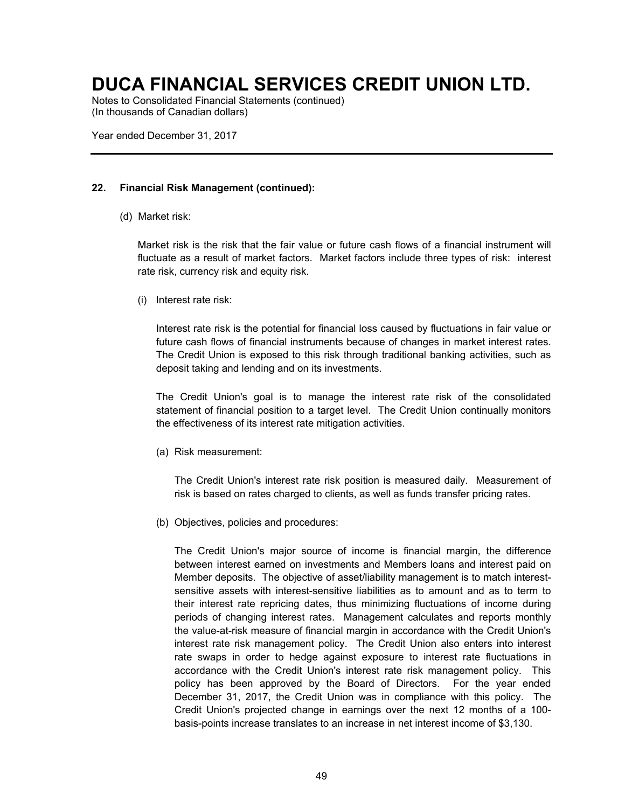Notes to Consolidated Financial Statements (continued) (In thousands of Canadian dollars)

Year ended December 31, 2017

### **22. Financial Risk Management (continued):**

(d) Market risk:

Market risk is the risk that the fair value or future cash flows of a financial instrument will fluctuate as a result of market factors. Market factors include three types of risk: interest rate risk, currency risk and equity risk.

(i) Interest rate risk:

Interest rate risk is the potential for financial loss caused by fluctuations in fair value or future cash flows of financial instruments because of changes in market interest rates. The Credit Union is exposed to this risk through traditional banking activities, such as deposit taking and lending and on its investments.

The Credit Union's goal is to manage the interest rate risk of the consolidated statement of financial position to a target level. The Credit Union continually monitors the effectiveness of its interest rate mitigation activities.

(a) Risk measurement:

The Credit Union's interest rate risk position is measured daily. Measurement of risk is based on rates charged to clients, as well as funds transfer pricing rates.

(b) Objectives, policies and procedures:

The Credit Union's major source of income is financial margin, the difference between interest earned on investments and Members loans and interest paid on Member deposits. The objective of asset/liability management is to match interestsensitive assets with interest-sensitive liabilities as to amount and as to term to their interest rate repricing dates, thus minimizing fluctuations of income during periods of changing interest rates. Management calculates and reports monthly the value-at-risk measure of financial margin in accordance with the Credit Union's interest rate risk management policy. The Credit Union also enters into interest rate swaps in order to hedge against exposure to interest rate fluctuations in accordance with the Credit Union's interest rate risk management policy. This policy has been approved by the Board of Directors. For the year ended December 31, 2017, the Credit Union was in compliance with this policy. The Credit Union's projected change in earnings over the next 12 months of a 100 basis-points increase translates to an increase in net interest income of \$3,130.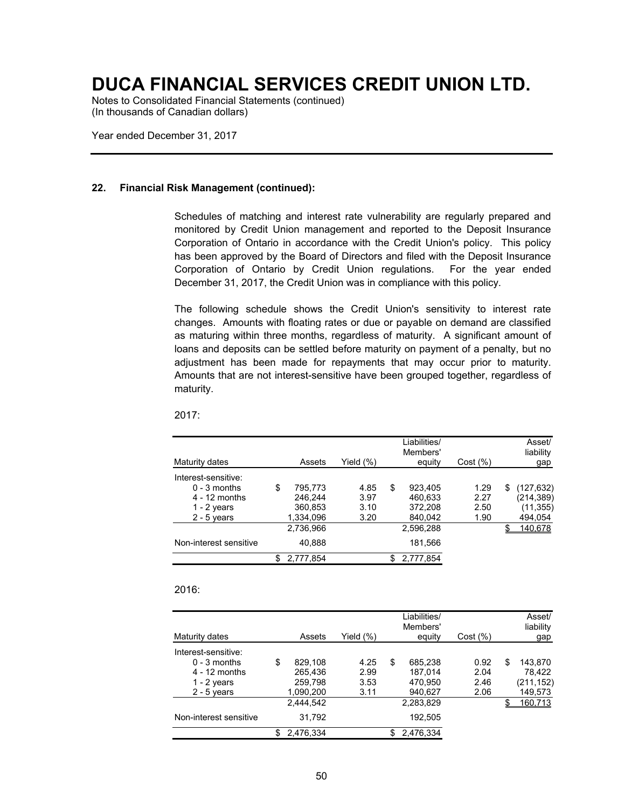Notes to Consolidated Financial Statements (continued) (In thousands of Canadian dollars)

Year ended December 31, 2017

#### **22. Financial Risk Management (continued):**

Schedules of matching and interest rate vulnerability are regularly prepared and monitored by Credit Union management and reported to the Deposit Insurance Corporation of Ontario in accordance with the Credit Union's policy. This policy has been approved by the Board of Directors and filed with the Deposit Insurance Corporation of Ontario by Credit Union regulations. For the year ended December 31, 2017, the Credit Union was in compliance with this policy.

The following schedule shows the Credit Union's sensitivity to interest rate changes. Amounts with floating rates or due or payable on demand are classified as maturing within three months, regardless of maturity. A significant amount of loans and deposits can be settled before maturity on payment of a penalty, but no adjustment has been made for repayments that may occur prior to maturity. Amounts that are not interest-sensitive have been grouped together, regardless of maturity.

| Maturity dates         | Assets        | Yield (%) | Liabilities/<br>Members'<br>equity | Cost (%) |   | Asset/<br>liability<br>gap |
|------------------------|---------------|-----------|------------------------------------|----------|---|----------------------------|
| Interest-sensitive:    |               |           |                                    |          |   |                            |
| $0 - 3$ months         | \$<br>795.773 | 4.85      | \$<br>923.405                      | 1.29     | S | (127, 632)                 |
| $4 - 12$ months        | 246.244       | 3.97      | 460.633                            | 2.27     |   | (214, 389)                 |
| 1 - $2$ years          | 360.853       | 3.10      | 372,208                            | 2.50     |   | (11, 355)                  |
| $2 - 5$ years          | 1,334,096     | 3.20      | 840,042                            | 1.90     |   | 494,054                    |
|                        | 2,736,966     |           | 2,596,288                          |          |   | 140.678                    |
| Non-interest sensitive | 40,888        |           | 181,566                            |          |   |                            |
|                        | 2,777,854     |           | 2,777,854                          |          |   |                            |

#### 2017:

### 2016:

|                        |    |           |           |     | Liabilities/<br>Members' |          | Asset/<br>liability |
|------------------------|----|-----------|-----------|-----|--------------------------|----------|---------------------|
| Maturity dates         |    | Assets    | Yield (%) |     | equity                   | Cost (%) | gap                 |
| Interest-sensitive:    |    |           |           |     |                          |          |                     |
| $0 - 3$ months         | \$ | 829.108   | 4.25      | \$  | 685.238                  | 0.92     | \$<br>143.870       |
| $4 - 12$ months        |    | 265.436   | 2.99      |     | 187.014                  | 2.04     | 78.422              |
| $1 - 2$ years          |    | 259,798   | 3.53      |     | 470.950                  | 2.46     | (211,152)           |
| $2 - 5$ years          |    | 1,090,200 | 3.11      |     | 940,627                  | 2.06     | 149,573             |
|                        |    | 2.444.542 |           |     | 2,283,829                |          | 160,713             |
| Non-interest sensitive |    | 31.792    |           |     | 192,505                  |          |                     |
|                        | S  | 2.476.334 |           | \$. | 2,476,334                |          |                     |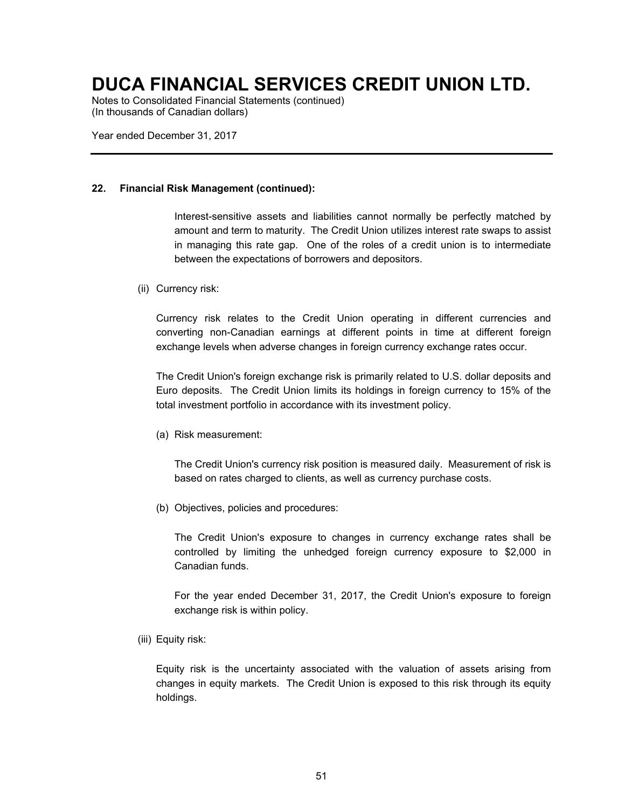Notes to Consolidated Financial Statements (continued) (In thousands of Canadian dollars)

Year ended December 31, 2017

#### **22. Financial Risk Management (continued):**

Interest-sensitive assets and liabilities cannot normally be perfectly matched by amount and term to maturity. The Credit Union utilizes interest rate swaps to assist in managing this rate gap. One of the roles of a credit union is to intermediate between the expectations of borrowers and depositors.

(ii) Currency risk:

Currency risk relates to the Credit Union operating in different currencies and converting non-Canadian earnings at different points in time at different foreign exchange levels when adverse changes in foreign currency exchange rates occur.

The Credit Union's foreign exchange risk is primarily related to U.S. dollar deposits and Euro deposits. The Credit Union limits its holdings in foreign currency to 15% of the total investment portfolio in accordance with its investment policy.

(a) Risk measurement:

The Credit Union's currency risk position is measured daily. Measurement of risk is based on rates charged to clients, as well as currency purchase costs.

(b) Objectives, policies and procedures:

The Credit Union's exposure to changes in currency exchange rates shall be controlled by limiting the unhedged foreign currency exposure to \$2,000 in Canadian funds.

For the year ended December 31, 2017, the Credit Union's exposure to foreign exchange risk is within policy.

(iii) Equity risk:

Equity risk is the uncertainty associated with the valuation of assets arising from changes in equity markets. The Credit Union is exposed to this risk through its equity holdings.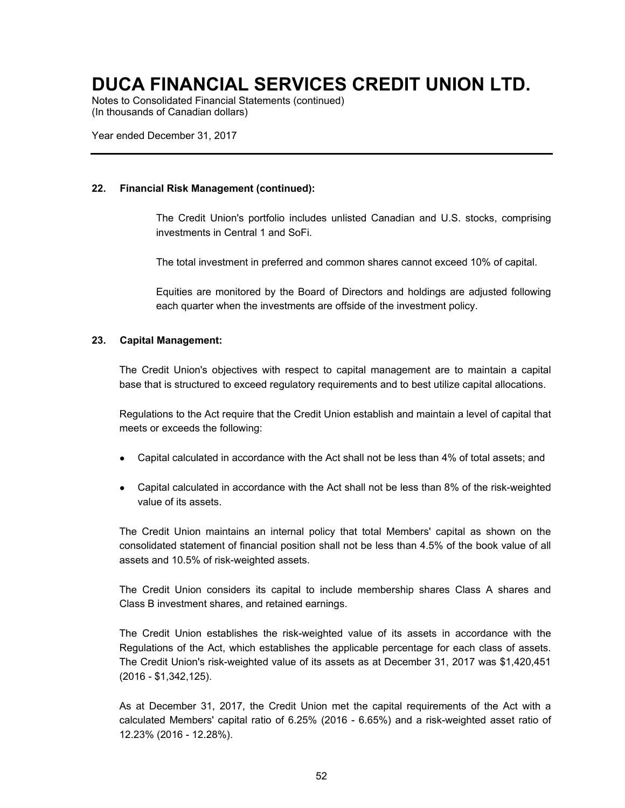Notes to Consolidated Financial Statements (continued) (In thousands of Canadian dollars)

Year ended December 31, 2017

### **22. Financial Risk Management (continued):**

The Credit Union's portfolio includes unlisted Canadian and U.S. stocks, comprising investments in Central 1 and SoFi.

The total investment in preferred and common shares cannot exceed 10% of capital.

Equities are monitored by the Board of Directors and holdings are adjusted following each quarter when the investments are offside of the investment policy.

### **23. Capital Management:**

The Credit Union's objectives with respect to capital management are to maintain a capital base that is structured to exceed regulatory requirements and to best utilize capital allocations.

Regulations to the Act require that the Credit Union establish and maintain a level of capital that meets or exceeds the following:

- Capital calculated in accordance with the Act shall not be less than 4% of total assets; and
- Capital calculated in accordance with the Act shall not be less than 8% of the risk-weighted value of its assets.

The Credit Union maintains an internal policy that total Members' capital as shown on the consolidated statement of financial position shall not be less than 4.5% of the book value of all assets and 10.5% of risk-weighted assets.

The Credit Union considers its capital to include membership shares Class A shares and Class B investment shares, and retained earnings.

The Credit Union establishes the risk-weighted value of its assets in accordance with the Regulations of the Act, which establishes the applicable percentage for each class of assets. The Credit Union's risk-weighted value of its assets as at December 31, 2017 was \$1,420,451 (2016 - \$1,342,125).

As at December 31, 2017, the Credit Union met the capital requirements of the Act with a calculated Members' capital ratio of 6.25% (2016 - 6.65%) and a risk-weighted asset ratio of 12.23% (2016 - 12.28%).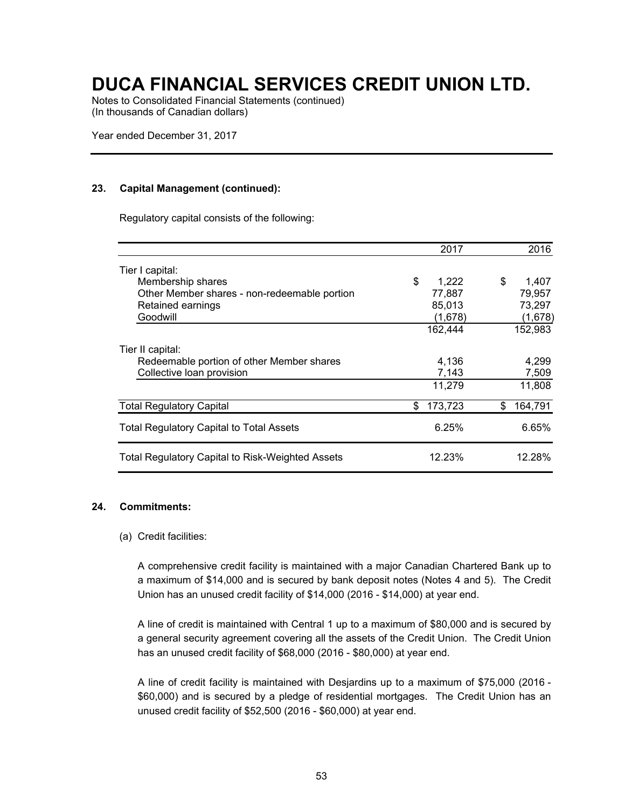Notes to Consolidated Financial Statements (continued) (In thousands of Canadian dollars)

Year ended December 31, 2017

### **23. Capital Management (continued):**

Regulatory capital consists of the following:

|                                                         | 2017          | 2016          |
|---------------------------------------------------------|---------------|---------------|
| Tier I capital:                                         |               |               |
| Membership shares                                       | \$<br>1,222   | \$<br>1,407   |
| Other Member shares - non-redeemable portion            | 77,887        | 79,957        |
| Retained earnings                                       | 85,013        | 73,297        |
| Goodwill                                                | (1,678)       | (1,678)       |
|                                                         | 162,444       | 152,983       |
| Tier II capital:                                        |               |               |
| Redeemable portion of other Member shares               | 4,136         | 4,299         |
| Collective loan provision                               | 7,143         | 7,509         |
|                                                         | 11,279        | 11,808        |
| <b>Total Regulatory Capital</b>                         | 173,723<br>\$ | 164,791<br>\$ |
| <b>Total Regulatory Capital to Total Assets</b>         | 6.25%         | 6.65%         |
| <b>Total Regulatory Capital to Risk-Weighted Assets</b> | 12.23%        | 12.28%        |

### **24. Commitments:**

### (a) Credit facilities:

A comprehensive credit facility is maintained with a major Canadian Chartered Bank up to a maximum of \$14,000 and is secured by bank deposit notes (Notes 4 and 5). The Credit Union has an unused credit facility of \$14,000 (2016 - \$14,000) at year end.

A line of credit is maintained with Central 1 up to a maximum of \$80,000 and is secured by a general security agreement covering all the assets of the Credit Union. The Credit Union has an unused credit facility of \$68,000 (2016 - \$80,000) at year end.

A line of credit facility is maintained with Desjardins up to a maximum of \$75,000 (2016 - \$60,000) and is secured by a pledge of residential mortgages. The Credit Union has an unused credit facility of \$52,500 (2016 - \$60,000) at year end.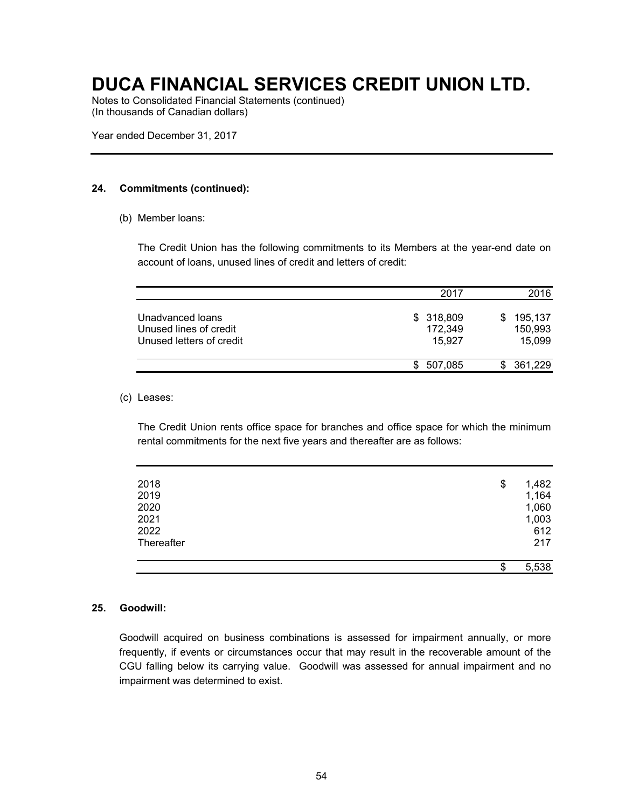Notes to Consolidated Financial Statements (continued) (In thousands of Canadian dollars)

Year ended December 31, 2017

### **24. Commitments (continued):**

(b) Member loans:

The Credit Union has the following commitments to its Members at the year-end date on account of loans, unused lines of credit and letters of credit:

|                                                                        | 2017                           | 2016                              |
|------------------------------------------------------------------------|--------------------------------|-----------------------------------|
| Unadvanced loans<br>Unused lines of credit<br>Unused letters of credit | \$318,809<br>172,349<br>15.927 | 195,137<br>S<br>150,993<br>15,099 |
|                                                                        | 507,085<br>\$.                 | 361,229                           |

### (c) Leases:

The Credit Union rents office space for branches and office space for which the minimum rental commitments for the next five years and thereafter are as follows:

| 5,538 |
|-------|
| 217   |
| 612   |
| 1,003 |
| 1,060 |
| 1,164 |
| 1,482 |
|       |

### **25. Goodwill:**

Goodwill acquired on business combinations is assessed for impairment annually, or more frequently, if events or circumstances occur that may result in the recoverable amount of the CGU falling below its carrying value. Goodwill was assessed for annual impairment and no impairment was determined to exist.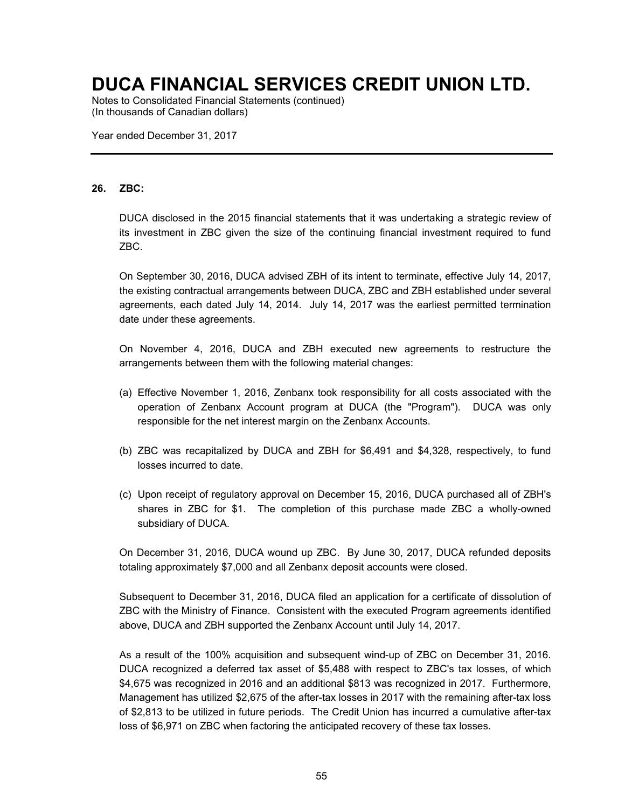Notes to Consolidated Financial Statements (continued) (In thousands of Canadian dollars)

Year ended December 31, 2017

### **26. ZBC:**

DUCA disclosed in the 2015 financial statements that it was undertaking a strategic review of its investment in ZBC given the size of the continuing financial investment required to fund ZBC.

On September 30, 2016, DUCA advised ZBH of its intent to terminate, effective July 14, 2017, the existing contractual arrangements between DUCA, ZBC and ZBH established under several agreements, each dated July 14, 2014. July 14, 2017 was the earliest permitted termination date under these agreements.

On November 4, 2016, DUCA and ZBH executed new agreements to restructure the arrangements between them with the following material changes:

- (a) Effective November 1, 2016, Zenbanx took responsibility for all costs associated with the operation of Zenbanx Account program at DUCA (the "Program"). DUCA was only responsible for the net interest margin on the Zenbanx Accounts.
- (b) ZBC was recapitalized by DUCA and ZBH for \$6,491 and \$4,328, respectively, to fund losses incurred to date.
- (c) Upon receipt of regulatory approval on December 15, 2016, DUCA purchased all of ZBH's shares in ZBC for \$1. The completion of this purchase made ZBC a wholly-owned subsidiary of DUCA.

On December 31, 2016, DUCA wound up ZBC. By June 30, 2017, DUCA refunded deposits totaling approximately \$7,000 and all Zenbanx deposit accounts were closed.

Subsequent to December 31, 2016, DUCA filed an application for a certificate of dissolution of ZBC with the Ministry of Finance. Consistent with the executed Program agreements identified above, DUCA and ZBH supported the Zenbanx Account until July 14, 2017.

As a result of the 100% acquisition and subsequent wind-up of ZBC on December 31, 2016. DUCA recognized a deferred tax asset of \$5,488 with respect to ZBC's tax losses, of which \$4,675 was recognized in 2016 and an additional \$813 was recognized in 2017. Furthermore, Management has utilized \$2,675 of the after-tax losses in 2017 with the remaining after-tax loss of \$2,813 to be utilized in future periods. The Credit Union has incurred a cumulative after-tax loss of \$6,971 on ZBC when factoring the anticipated recovery of these tax losses.